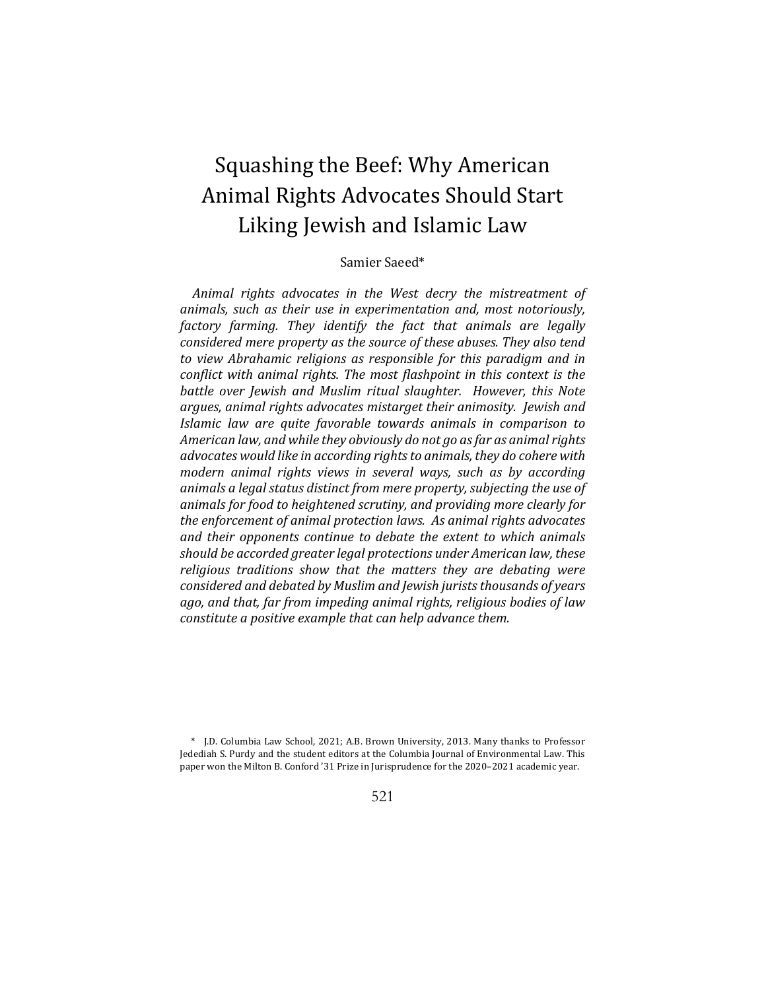# Squashing the Beef: Why American Animal Rights Advocates Should Start Liking Jewish and Islamic Law

# Samier Saeed\*

Animal rights advocates in the West decry the mistreatment of *animals, such as their use in experimentation and, most notoriously, factory farming. They identify the fact that animals are legally considered mere property as the source of these abuses. They also tend to* view Abrahamic religions as responsible for this paradigm and in *conflict* with animal rights. The most flashpoint in this context is the *battle over Jewish and Muslim ritual slaughter. However, this Note* argues, animal rights advocates mistarget their animosity. Jewish and *Islamic law are quite favorable towards animals in comparison to* American law, and while they obviously do not go as far as animal rights *advocates* would like in according rights to animals, they do cohere with *modern animal rights views in several ways, such as by according* animals a legal status distinct from mere property, subjecting the use of animals for food to heightened scrutiny, and providing more clearly for *the enforcement of animal protection laws. As animal rights advocates* and their opponents continue to debate the extent to which animals *should be accorded greater legal protections under American law, these* religious traditions show that the matters they are debating were *considered and debated by Muslim and Jewish jurists thousands of years ago, and that, far from impeding animal rights, religious bodies of law constitute a positive example that can help advance them.* 

## 521

<sup>\*</sup> J.D. Columbia Law School, 2021; A.B. Brown University, 2013. Many thanks to Professor Jedediah S. Purdy and the student editors at the Columbia Journal of Environmental Law. This paper won the Milton B. Conford '31 Prize in Jurisprudence for the 2020–2021 academic year.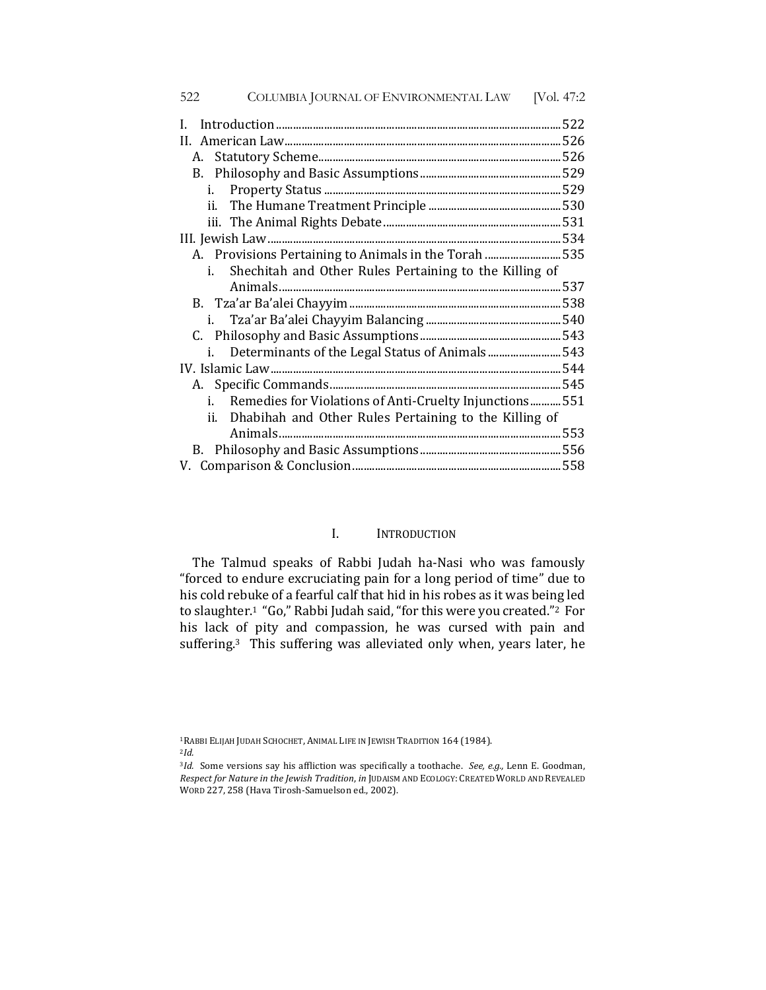| COLUMBIA JOURNAL OF ENVIRONMENTAL LAW<br>522<br>[Vol. 47:2]      |
|------------------------------------------------------------------|
| 522<br>L                                                         |
| 526                                                              |
| 526                                                              |
|                                                                  |
| i.                                                               |
|                                                                  |
|                                                                  |
| 534                                                              |
| A. Provisions Pertaining to Animals in the Torah 535             |
| Shechitah and Other Rules Pertaining to the Killing of<br>i.     |
| 537                                                              |
|                                                                  |
|                                                                  |
| 540<br>i.                                                        |
|                                                                  |
| Determinants of the Legal Status of Animals 543<br>i.            |
|                                                                  |
|                                                                  |
| Remedies for Violations of Anti-Cruelty Injunctions<br>551<br>i. |
| ii. Dhabihah and Other Rules Pertaining to the Killing of        |
|                                                                  |
|                                                                  |
|                                                                  |

## I. INTRODUCTION

The Talmud speaks of Rabbi Judah ha-Nasi who was famously "forced to endure excruciating pain for a long period of time" due to his cold rebuke of a fearful calf that hid in his robes as it was being led to slaughter.<sup>1</sup> "Go," Rabbi Judah said, "for this were you created."<sup>2</sup> For his lack of pity and compassion, he was cursed with pain and suffering.<sup>3</sup> This suffering was alleviated only when, years later, he

<sup>1</sup>RABBI ELIJAH JUDAH SCHOCHET, ANIMAL LIFE IN JEWISH TRADITION 164 (1984). <sup>2</sup>*Id.*

<sup>3</sup>*Id.* Some versions say his affliction was specifically a toothache. *See, e.g.*, Lenn E. Goodman, *Respect for Nature in the Jewish Tradition, in JUDAISM AND ECOLOGY: CREATED WORLD AND REVEALED* WORD 227, 258 (Hava Tirosh-Samuelson ed., 2002).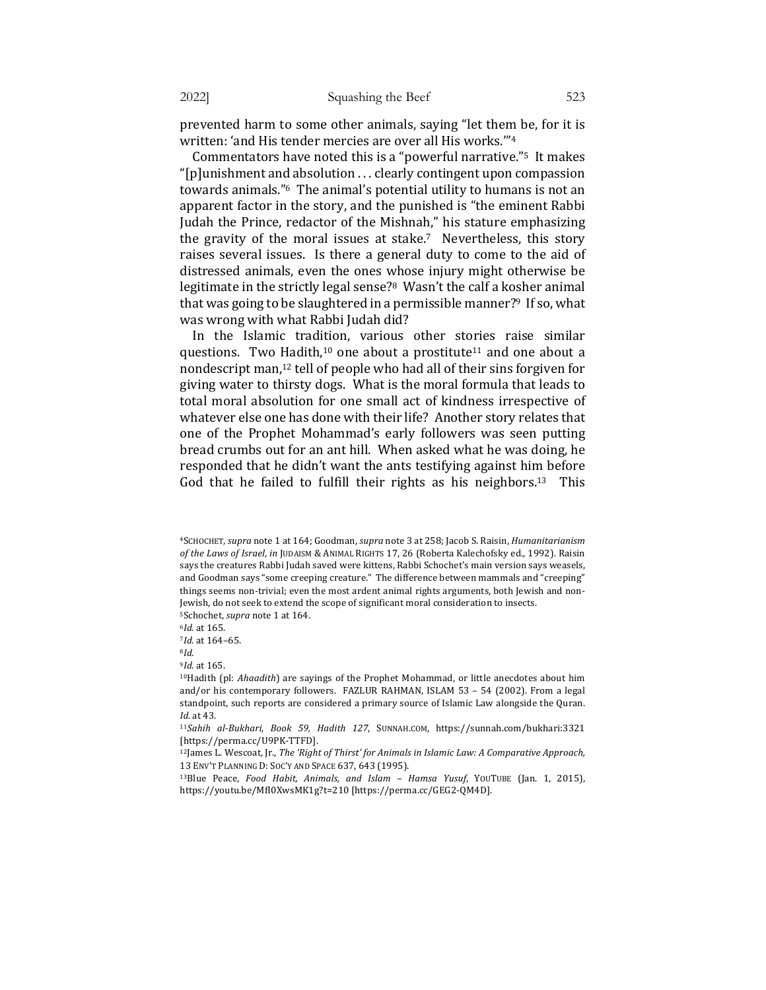prevented harm to some other animals, saying "let them be, for it is written: 'and His tender mercies are over all His works.""<sup>4</sup>

Commentators have noted this is a "powerful narrative."<sup>5</sup> It makes " $[p]$ unishment and absolution ... clearly contingent upon compassion towards animals."<sup>6</sup> The animal's potential utility to humans is not an apparent factor in the story, and the punished is "the eminent Rabbi Judah the Prince, redactor of the Mishnah," his stature emphasizing the gravity of the moral issues at stake.<sup>7</sup> Nevertheless, this story raises several issues. Is there a general duty to come to the aid of distressed animals, even the ones whose injury might otherwise be legitimate in the strictly legal sense?<sup>8</sup> Wasn't the calf a kosher animal that was going to be slaughtered in a permissible manner?<sup>9</sup> If so, what was wrong with what Rabbi Judah did?

In the Islamic tradition, various other stories raise similar questions. Two Hadith,<sup>10</sup> one about a prostitute<sup>11</sup> and one about a nondescript man,<sup>12</sup> tell of people who had all of their sins forgiven for giving water to thirsty dogs. What is the moral formula that leads to total moral absolution for one small act of kindness irrespective of whatever else one has done with their life? Another story relates that one of the Prophet Mohammad's early followers was seen putting bread crumbs out for an ant hill. When asked what he was doing, he responded that he didn't want the ants testifying against him before God that he failed to fulfill their rights as his neighbors.<sup>13</sup> This

<sup>6</sup>*Id*. at 165. 

7Id. at 164-65.

<sup>8</sup>*Id.*

<sup>9</sup>*Id.* at 165.

<sup>4</sup>SCHOCHET, *supra* note 1 at 164; Goodman, *supra* note 3 at 258; Jacob S. Raisin, *Humanitarianism*  of the Laws of Israel, in JUDAISM & ANIMAL RIGHTS 17, 26 (Roberta Kalechofsky ed., 1992). Raisin says the creatures Rabbi Judah saved were kittens, Rabbi Schochet's main version says weasels, and Goodman says "some creeping creature." The difference between mammals and "creeping" things seems non-trivial; even the most ardent animal rights arguments, both Jewish and non-Jewish, do not seek to extend the scope of significant moral consideration to insects. <sup>5</sup>Schochet, *supra* note 1 at 164.

<sup>&</sup>lt;sup>10</sup>Hadith (pl: Ahaadith) are sayings of the Prophet Mohammad, or little anecdotes about him and/or his contemporary followers. FAZLUR RAHMAN, ISLAM 53 - 54 (2002). From a legal standpoint, such reports are considered a primary source of Islamic Law alongside the Quran. *Id.* at 43.

<sup>&</sup>lt;sup>11</sup>Sahih al-Bukhari, Book 59, Hadith 127, SUNNAH.COM, https://sunnah.com/bukhari:3321 [https://perma.cc/U9PK-TTFD].

 $12$  James L. Wescoat, Jr., *The 'Right of Thirst' for Animals in Islamic Law: A Comparative Approach,* 13 ENV'T PLANNING D: SOC'Y AND SPACE 637, 643 (1995).

<sup>&</sup>lt;sup>13</sup>Blue Peace, *Food Habit, Animals, and Islam - Hamsa Yusuf, YouTuBE* (Jan. 1, 2015), https://youtu.be/MfI0XwsMK1g?t=210 [https://perma.cc/GEG2-QM4D].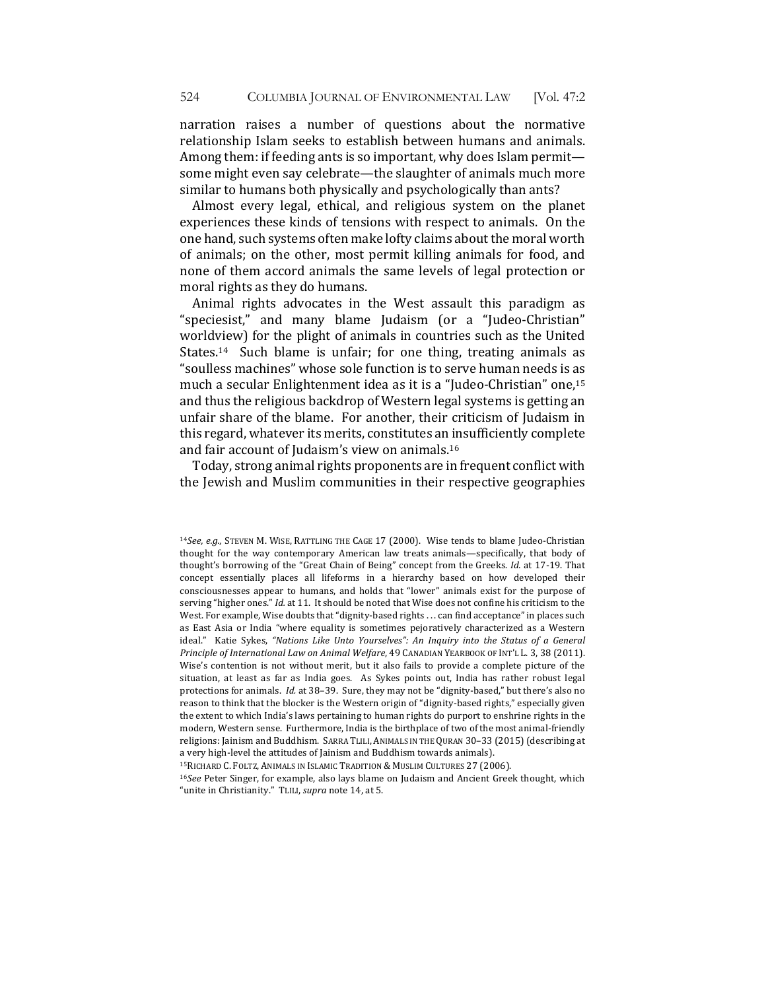narration raises a number of questions about the normative relationship Islam seeks to establish between humans and animals. Among them: if feeding ants is so important, why does Islam permit some might even say celebrate—the slaughter of animals much more similar to humans both physically and psychologically than ants?

Almost every legal, ethical, and religious system on the planet experiences these kinds of tensions with respect to animals. On the one hand, such systems often make lofty claims about the moral worth of animals; on the other, most permit killing animals for food, and none of them accord animals the same levels of legal protection or moral rights as they do humans.

Animal rights advocates in the West assault this paradigm as "speciesist," and many blame Judaism (or a "Judeo-Christian" worldview) for the plight of animals in countries such as the United States.<sup>14</sup> Such blame is unfair; for one thing, treating animals as "soulless machines" whose sole function is to serve human needs is as much a secular Enlightenment idea as it is a "Judeo-Christian" one,<sup>15</sup> and thus the religious backdrop of Western legal systems is getting an unfair share of the blame. For another, their criticism of Judaism in this regard, whatever its merits, constitutes an insufficiently complete and fair account of Judaism's view on animals.<sup>16</sup>

Today, strong animal rights proponents are in frequent conflict with the Jewish and Muslim communities in their respective geographies

<sup>15</sup>RICHARD C. FOLTZ, ANIMALS IN ISLAMIC TRADITION & MUSLIM CULTURES 27 (2006).

<sup>16</sup>See Peter Singer, for example, also lays blame on Judaism and Ancient Greek thought, which "unite in Christianity." TLILI, *supra* note 14, at 5.

<sup>&</sup>lt;sup>14</sup>See, e.g., STEVEN M. WISE, RATTLING THE CAGE 17 (2000). Wise tends to blame Judeo-Christian thought for the way contemporary American law treats animals—specifically, that body of thought's borrowing of the "Great Chain of Being" concept from the Greeks. *Id.* at 17-19. That concept essentially places all lifeforms in a hierarchy based on how developed their consciousnesses appear to humans, and holds that "lower" animals exist for the purpose of serving "higher ones." *Id.* at 11. It should be noted that Wise does not confine his criticism to the West. For example, Wise doubts that "dignity-based rights ... can find acceptance" in places such as East Asia or India "where equality is sometimes pejoratively characterized as a Western ideal." Katie Sykes, "Nations Like Unto Yourselves": An Inquiry into the Status of a General Principle of International Law on Animal Welfare, 49 CANADIAN YEARBOOK OF INT'L L. 3, 38 (2011). Wise's contention is not without merit, but it also fails to provide a complete picture of the situation, at least as far as India goes. As Sykes points out, India has rather robust legal protections for animals. *Id.* at 38-39. Sure, they may not be "dignity-based," but there's also no reason to think that the blocker is the Western origin of "dignity-based rights," especially given the extent to which India's laws pertaining to human rights do purport to enshrine rights in the modern, Western sense. Furthermore, India is the birthplace of two of the most animal-friendly religions: Jainism and Buddhism. SARRA TLILI, ANIMALS IN THE QURAN 30-33 (2015) (describing at a very high-level the attitudes of Jainism and Buddhism towards animals).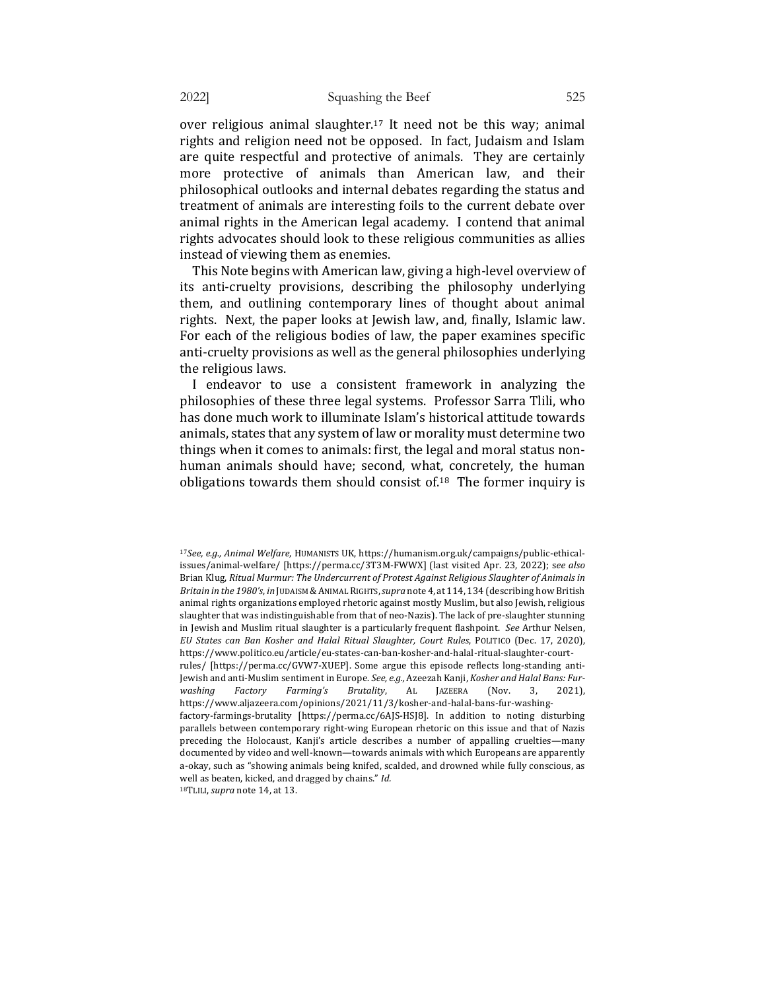over religious animal slaughter.<sup>17</sup> It need not be this way; animal rights and religion need not be opposed. In fact, Judaism and Islam are quite respectful and protective of animals. They are certainly more protective of animals than American law, and their philosophical outlooks and internal debates regarding the status and treatment of animals are interesting foils to the current debate over animal rights in the American legal academy. I contend that animal rights advocates should look to these religious communities as allies instead of viewing them as enemies.

This Note begins with American law, giving a high-level overview of its anti-cruelty provisions, describing the philosophy underlying them, and outlining contemporary lines of thought about animal rights. Next, the paper looks at Jewish law, and, finally, Islamic law. For each of the religious bodies of law, the paper examines specific anti-cruelty provisions as well as the general philosophies underlying the religious laws.

I endeavor to use a consistent framework in analyzing the philosophies of these three legal systems. Professor Sarra Tlili, who has done much work to illuminate Islam's historical attitude towards animals, states that any system of law or morality must determine two things when it comes to animals: first, the legal and moral status nonhuman animals should have; second, what, concretely, the human obligations towards them should consist of  $18$  The former inquiry is

<sup>&</sup>lt;sup>17</sup>See, e.g., Animal Welfare, HUMANISTS UK, https://humanism.org.uk/campaigns/public-ethicalissues/animal-welfare/ [https://perma.cc/3T3M-FWWX] (last visited Apr. 23, 2022); see also Brian Klug, Ritual Murmur: The Undercurrent of Protest Against Religious Slaughter of Animals in *Britain in the 1980's, in* JUDAISM & ANIMAL RIGHTS, *supra* note 4, at 114, 134 (describing how British animal rights organizations employed rhetoric against mostly Muslim, but also Jewish, religious slaughter that was indistinguishable from that of neo-Nazis). The lack of pre-slaughter stunning in Jewish and Muslim ritual slaughter is a particularly frequent flashpoint. See Arthur Nelsen, *EU States can Ban Kosher and Halal Ritual Slaughter, Court Rules*, POLITICO (Dec. 17, 2020), https://www.politico.eu/article/eu-states-can-ban-kosher-and-halal-ritual-slaughter-courtrules/ [https://perma.cc/GVW7-XUEP]. Some argue this episode reflects long-standing anti-Jewish and anti-Muslim sentiment in Europe. See, e.g., Azeezah Kanji, *Kosher and Halal Bans: Fur*washing Factory Farming's Brutality, AL JAZEERA (Nov. 3, 2021), https://www.aljazeera.com/opinions/2021/11/3/kosher-and-halal-bans-fur-washingfactory-farmings-brutality [https://perma.cc/6AJS-HSJ8]. In addition to noting disturbing parallels between contemporary right-wing European rhetoric on this issue and that of Nazis preceding the Holocaust, Kanji's article describes a number of appalling cruelties—many documented by video and well-known—towards animals with which Europeans are apparently a-okay, such as "showing animals being knifed, scalded, and drowned while fully conscious, as well as beaten, kicked, and dragged by chains." Id. 18TLILI, *supra* note 14, at 13.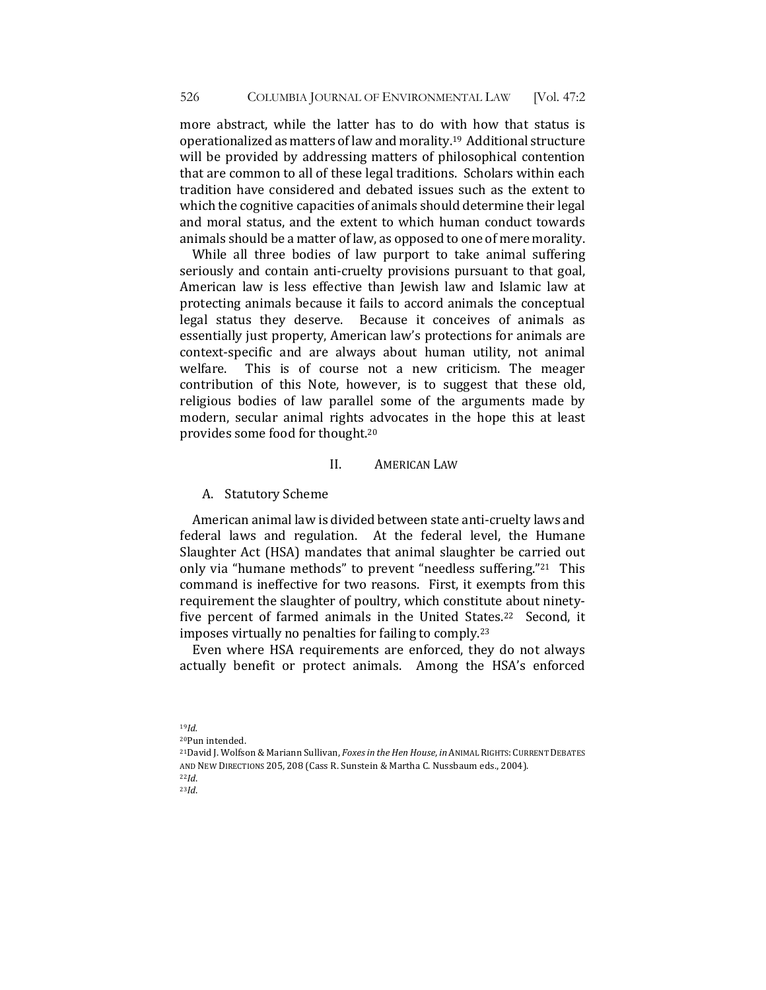more abstract, while the latter has to do with how that status is operationalized as matters of law and morality.<sup>19</sup> Additional structure will be provided by addressing matters of philosophical contention that are common to all of these legal traditions. Scholars within each tradition have considered and debated issues such as the extent to which the cognitive capacities of animals should determine their legal and moral status, and the extent to which human conduct towards animals should be a matter of law, as opposed to one of mere morality.

While all three bodies of law purport to take animal suffering seriously and contain anti-cruelty provisions pursuant to that goal, American law is less effective than Jewish law and Islamic law at protecting animals because it fails to accord animals the conceptual legal status they deserve. Because it conceives of animals as essentially just property, American law's protections for animals are context-specific and are always about human utility, not animal welfare. This is of course not a new criticism. The meager contribution of this Note, however, is to suggest that these old, religious bodies of law parallel some of the arguments made by modern, secular animal rights advocates in the hope this at least provides some food for thought.<sup>20</sup>

### II. **AMERICAN LAW**

#### A. Statutory Scheme

American animal law is divided between state anti-cruelty laws and federal laws and regulation. At the federal level, the Humane Slaughter Act (HSA) mandates that animal slaughter be carried out only via "humane methods" to prevent "needless suffering."<sup>21</sup> This command is ineffective for two reasons. First, it exempts from this requirement the slaughter of poultry, which constitute about ninetyfive percent of farmed animals in the United States.<sup>22</sup> Second, it imposes virtually no penalties for failing to comply.<sup>23</sup>

Even where HSA requirements are enforced, they do not always actually benefit or protect animals. Among the HSA's enforced

<sup>20</sup>Pun intended. <sup>21</sup>David J. Wolfson & Mariann Sullivan, *Foxes in the Hen House*, *in* ANIMAL RIGHTS: CURRENT DEBATES AND NEW DIRECTIONS 205, 208 (Cass R. Sunstein & Martha C. Nussbaum eds., 2004). <sup>22</sup>*Id*. 

23*Id*. 

<sup>19</sup>*Id.*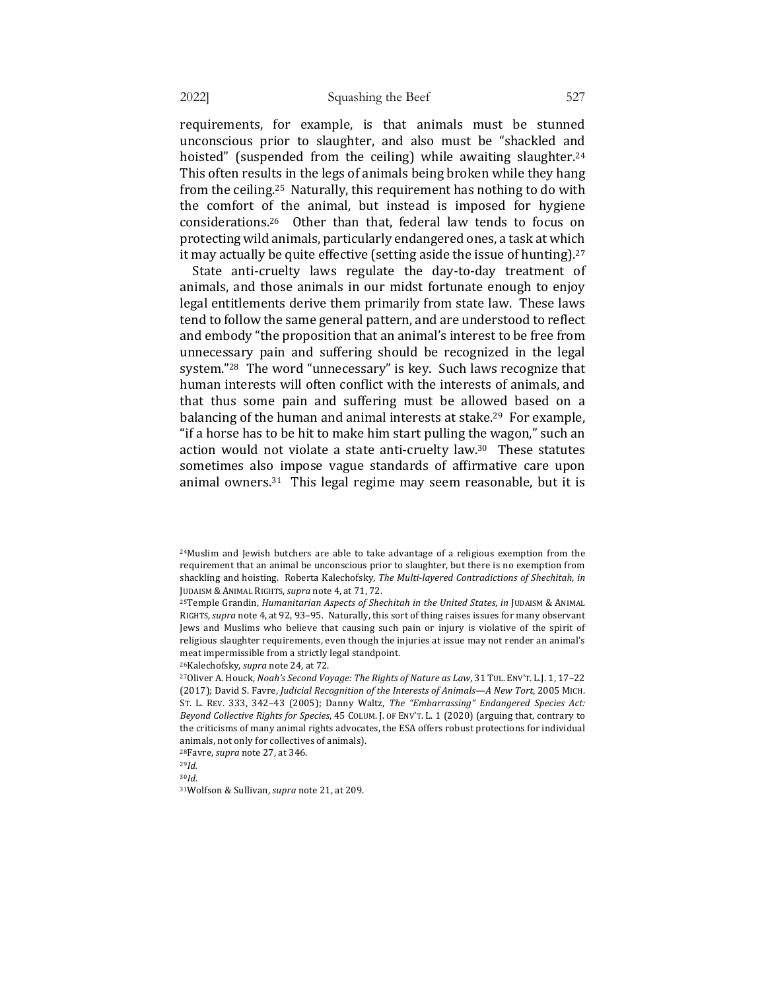requirements, for example, is that animals must be stunned unconscious prior to slaughter, and also must be "shackled and hoisted" (suspended from the ceiling) while awaiting slaughter.<sup>24</sup> This often results in the legs of animals being broken while they hang from the ceiling.<sup>25</sup> Naturally, this requirement has nothing to do with the comfort of the animal, but instead is imposed for hygiene considerations.<sup>26</sup> Other than that, federal law tends to focus on protecting wild animals, particularly endangered ones, a task at which it may actually be quite effective (setting aside the issue of hunting).<sup>27</sup>

State anti-cruelty laws regulate the day-to-day treatment of animals, and those animals in our midst fortunate enough to enjoy legal entitlements derive them primarily from state law. These laws tend to follow the same general pattern, and are understood to reflect and embody "the proposition that an animal's interest to be free from unnecessary pain and suffering should be recognized in the legal system."<sup>28</sup> The word "unnecessary" is key. Such laws recognize that human interests will often conflict with the interests of animals, and that thus some pain and suffering must be allowed based on a balancing of the human and animal interests at stake.<sup>29</sup> For example, "if a horse has to be hit to make him start pulling the wagon," such an action would not violate a state anti-cruelty law. $30$  These statutes sometimes also impose vague standards of affirmative care upon animal owners.<sup>31</sup> This legal regime may seem reasonable, but it is

<sup>26</sup>Kalechofsky, *supra* note 24, at 72.

<sup>28</sup>Favre, *supra* note 27, at 346.

 $24$ Muslim and Jewish butchers are able to take advantage of a religious exemption from the requirement that an animal be unconscious prior to slaughter, but there is no exemption from shackling and hoisting. Roberta Kalechofsky, *The Multi-layered Contradictions of Shechitah*, in JUDAISM & ANIMAL RIGHTS, *supra* note 4, at 71, 72.

<sup>&</sup>lt;sup>25</sup>Temple Grandin, *Humanitarian Aspects of Shechitah in the United States*, *in* JUDAISM & ANIMAL RIGHTS, *supra* note 4, at 92, 93-95. Naturally, this sort of thing raises issues for many observant Jews and Muslims who believe that causing such pain or injury is violative of the spirit of religious slaughter requirements, even though the injuries at issue may not render an animal's meat impermissible from a strictly legal standpoint.

<sup>&</sup>lt;sup>27</sup>Oliver A. Houck, *Noah's Second Voyage: The Rights of Nature as Law*, 31 TUL. ENV'T. L.J. 1, 17-22 (2017); David S. Favre, *Judicial Recognition of the Interests of Animals—A New Tort*, 2005 MICH. ST. L. REV. 333, 342-43 (2005); Danny Waltz, *The "Embarrassing" Endangered Species Act: Beyond Collective Rights for Species*, 45 COLUM. J. OF ENV'T. L. 1 (2020) (arguing that, contrary to the criticisms of many animal rights advocates, the ESA offers robust protections for individual animals, not only for collectives of animals).

<sup>29</sup>*Id.*

 $30$ *Id.* 

<sup>&</sup>lt;sup>31</sup>Wolfson & Sullivan, *supra* note 21, at 209.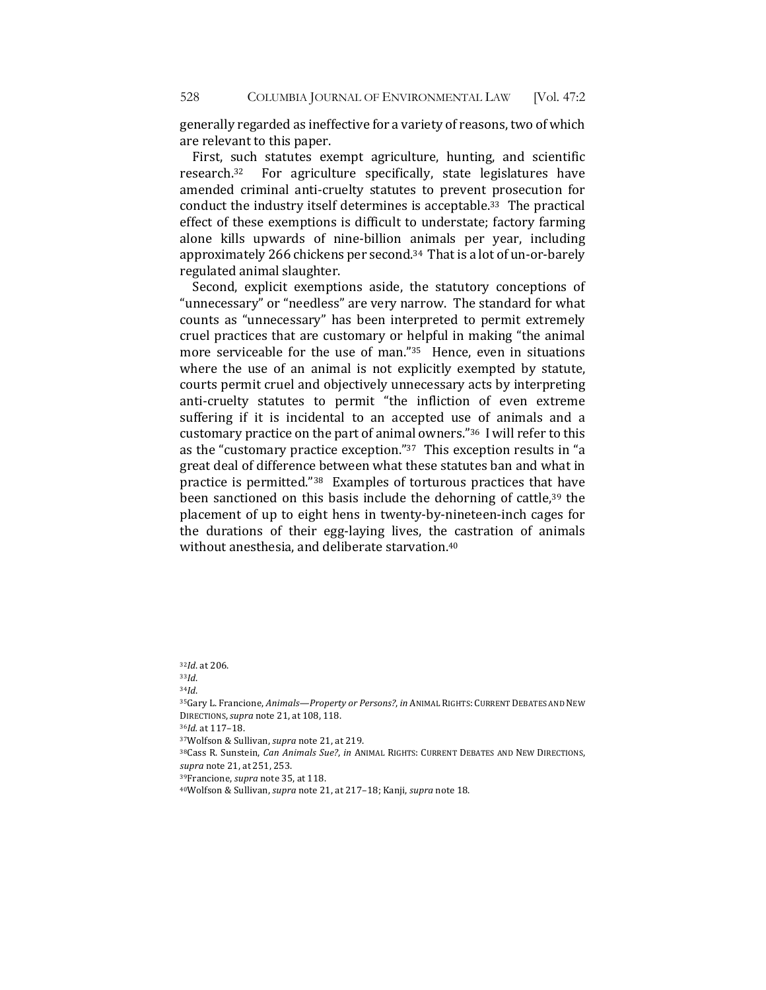generally regarded as ineffective for a variety of reasons, two of which are relevant to this paper.

First, such statutes exempt agriculture, hunting, and scientific research.<sup>32</sup> For agriculture specifically, state legislatures have amended criminal anti-cruelty statutes to prevent prosecution for conduct the industry itself determines is acceptable.<sup>33</sup> The practical effect of these exemptions is difficult to understate; factory farming alone kills upwards of nine-billion animals per year, including approximately 266 chickens per second.<sup>34</sup> That is a lot of un-or-barely regulated animal slaughter.

Second, explicit exemptions aside, the statutory conceptions of "unnecessary" or "needless" are very narrow. The standard for what counts as "unnecessary" has been interpreted to permit extremely cruel practices that are customary or helpful in making "the animal more serviceable for the use of man." $35$  Hence, even in situations where the use of an animal is not explicitly exempted by statute, courts permit cruel and objectively unnecessary acts by interpreting anti-cruelty statutes to permit "the infliction of even extreme suffering if it is incidental to an accepted use of animals and a customary practice on the part of animal owners."<sup>36</sup> I will refer to this as the "customary practice exception." $37$  This exception results in "a great deal of difference between what these statutes ban and what in practice is permitted." $38$  Examples of torturous practices that have been sanctioned on this basis include the dehorning of cattle, $39$  the placement of up to eight hens in twenty-by-nineteen-inch cages for the durations of their egg-laying lives, the castration of animals without anesthesia, and deliberate starvation.<sup>40</sup>

32*Id*. at 206.

<sup>33</sup>*Id*.

<sup>34</sup>*Id*. 

<sup>36</sup>*Id.* at 117–18. 

38Cass R. Sunstein, *Can Animals Sue?*, *in ANIMAL RIGHTS: CURRENT DEBATES AND NEW DIRECTIONS*, *supra* note 21, at 251, 253.

<sup>39</sup>Francione, *supra* note 35, at 118.

<sup>35</sup>Gary L. Francione, Animals—Property or Persons?, in ANIMAL RIGHTS: CURRENT DEBATES AND NEW DIRECTIONS,*supra* note 21, at 108, 118.

<sup>&</sup>lt;sup>37</sup>Wolfson & Sullivan, *supra* note 21, at 219.

<sup>&</sup>lt;sup>40</sup>Wolfson & Sullivan, *supra* note 21, at 217-18; Kanji, *supra* note 18.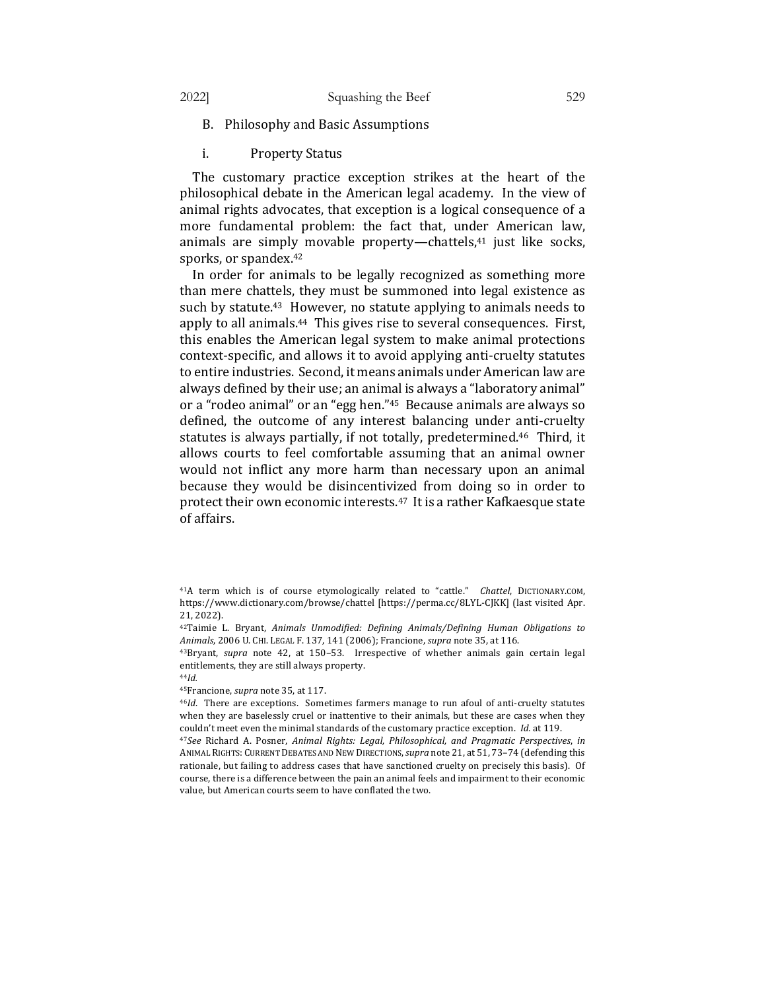- B. Philosophy and Basic Assumptions
- i. Property Status

The customary practice exception strikes at the heart of the philosophical debate in the American legal academy. In the view of animal rights advocates, that exception is a logical consequence of a more fundamental problem: the fact that, under American law, animals are simply movable property—chattels,<sup>41</sup> just like socks, sporks, or spandex.<sup>42</sup>

In order for animals to be legally recognized as something more than mere chattels, they must be summoned into legal existence as such by statute.<sup>43</sup> However, no statute applying to animals needs to apply to all animals.<sup>44</sup> This gives rise to several consequences. First, this enables the American legal system to make animal protections context-specific, and allows it to avoid applying anti-cruelty statutes to entire industries. Second, it means animals under American law are always defined by their use; an animal is always a "laboratory animal" or a "rodeo animal" or an "egg hen."<sup>45</sup> Because animals are always so defined, the outcome of any interest balancing under anti-cruelty statutes is always partially, if not totally, predetermined.<sup>46</sup> Third, it allows courts to feel comfortable assuming that an animal owner would not inflict any more harm than necessary upon an animal because they would be disincentivized from doing so in order to protect their own economic interests.<sup>47</sup> It is a rather Kafkaesque state of affairs.

<sup>44</sup>*Id.*

<sup>&</sup>lt;sup>41</sup>A term which is of course etymologically related to "cattle." Chattel, DICTIONARY.COM, https://www.dictionary.com/browse/chattel [https://perma.cc/8LYL-CJKK] (last visited Apr. 21, 2022).

<sup>&</sup>lt;sup>42</sup>Taimie L. Bryant, Animals Unmodified: Defining Animals/Defining Human Obligations to Animals, 2006 U. CHI. LEGAL F. 137, 141 (2006); Francione, *supra* note 35, at 116.

<sup>&</sup>lt;sup>43</sup>Bryant, *supra* note 42, at 150-53. Irrespective of whether animals gain certain legal entitlements, they are still always property.

<sup>&</sup>lt;sup>45</sup>Francione, *supra* note 35, at 117.

<sup>&</sup>lt;sup>46</sup>*Id*. There are exceptions. Sometimes farmers manage to run afoul of anti-cruelty statutes when they are baselessly cruel or inattentive to their animals, but these are cases when they couldn't meet even the minimal standards of the customary practice exception. *Id.* at 119.

<sup>&</sup>lt;sup>47</sup>See Richard A. Posner, *Animal Rights: Legal, Philosophical, and Pragmatic Perspectives, in* ANIMAL RIGHTS: CURRENT DEBATES AND NEW DIRECTIONS, *supra* note 21, at 51, 73-74 (defending this rationale, but failing to address cases that have sanctioned cruelty on precisely this basis). Of course, there is a difference between the pain an animal feels and impairment to their economic value, but American courts seem to have conflated the two.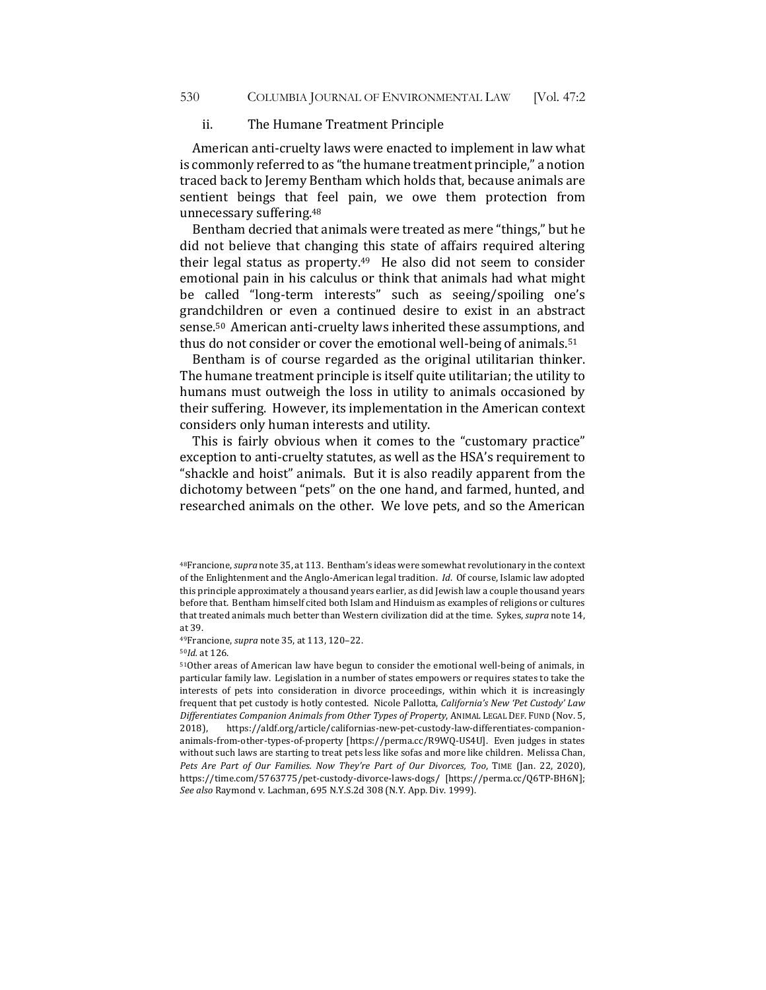#### ii. The Humane Treatment Principle

American anti-cruelty laws were enacted to implement in law what is commonly referred to as "the humane treatment principle," a notion traced back to Jeremy Bentham which holds that, because animals are sentient beings that feel pain, we owe them protection from unnecessary suffering.<sup>48</sup>

Bentham decried that animals were treated as mere "things," but he did not believe that changing this state of affairs required altering their legal status as property. $49$  He also did not seem to consider emotional pain in his calculus or think that animals had what might be called "long-term interests" such as seeing/spoiling one's grandchildren or even a continued desire to exist in an abstract sense.<sup>50</sup> American anti-cruelty laws inherited these assumptions, and thus do not consider or cover the emotional well-being of animals.<sup>51</sup>

Bentham is of course regarded as the original utilitarian thinker. The humane treatment principle is itself quite utilitarian; the utility to humans must outweigh the loss in utility to animals occasioned by their suffering. However, its implementation in the American context considers only human interests and utility.

This is fairly obvious when it comes to the "customary practice" exception to anti-cruelty statutes, as well as the HSA's requirement to "shackle and hoist" animals. But it is also readily apparent from the dichotomy between "pets" on the one hand, and farmed, hunted, and researched animals on the other. We love pets, and so the American

49Francione, *supra* note 35, at 113, 120-22.

<sup>50</sup>*Id.* at 126. 

<sup>&</sup>lt;sup>48</sup>Francione, *supra* note 35, at 113. Bentham's ideas were somewhat revolutionary in the context of the Enlightenment and the Anglo-American legal tradition. *Id.* Of course, Islamic law adopted this principle approximately a thousand years earlier, as did Jewish law a couple thousand years before that. Bentham himself cited both Islam and Hinduism as examples of religions or cultures that treated animals much better than Western civilization did at the time. Sykes, *supra* note 14, at 39. 

<sup>51</sup>Other areas of American law have begun to consider the emotional well-being of animals, in particular family law. Legislation in a number of states empowers or requires states to take the interests of pets into consideration in divorce proceedings, within which it is increasingly frequent that pet custody is hotly contested. Nicole Pallotta, *California's New 'Pet Custody' Law Differentiates Companion Animals from Other Types of Property*, ANIMAL LEGAL DEF. FUND (Nov. 5, 2018), https://aldf.org/article/californias-new-pet-custody-law-differentiates-companionanimals-from-other-types-of-property [https://perma.cc/R9WQ-US4U]. Even judges in states without such laws are starting to treat pets less like sofas and more like children. Melissa Chan, *Pets Are Part of Our Families. Now They're Part of Our Divorces, Too, TIME (Jan. 22, 2020),* https://time.com/5763775/pet-custody-divorce-laws-dogs/ [https://perma.cc/Q6TP-BH6N]; *See also* Raymond v. Lachman, 695 N.Y.S.2d 308 (N.Y. App. Div. 1999).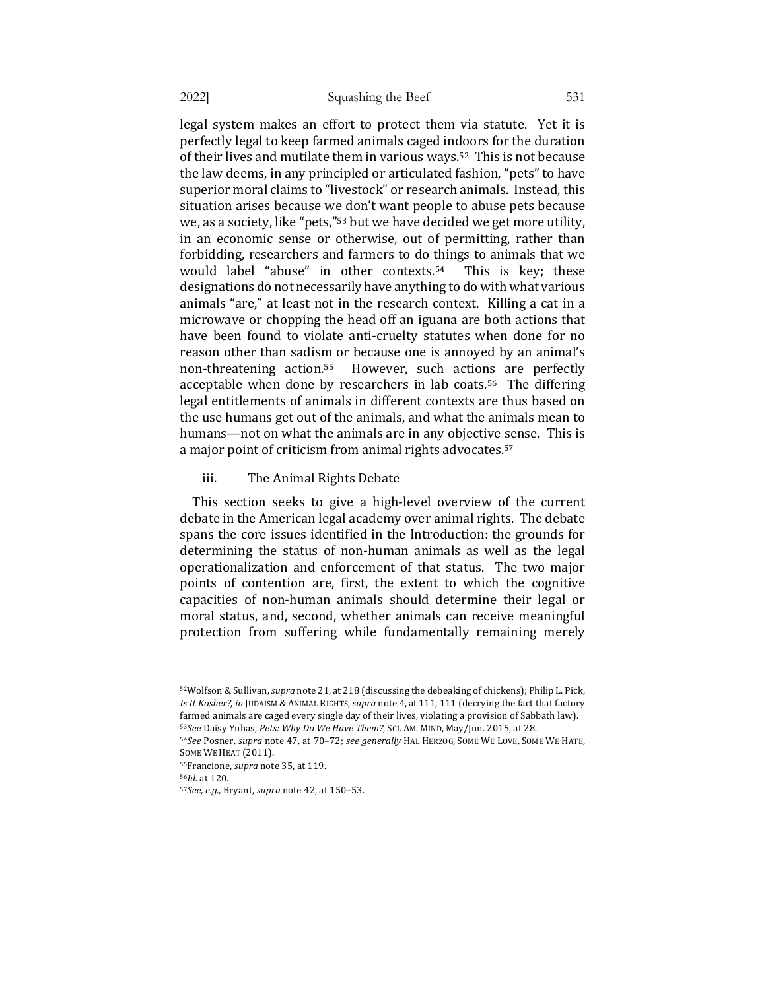legal system makes an effort to protect them via statute. Yet it is perfectly legal to keep farmed animals caged indoors for the duration of their lives and mutilate them in various ways.<sup>52</sup> This is not because the law deems, in any principled or articulated fashion, "pets" to have superior moral claims to "livestock" or research animals. Instead, this situation arises because we don't want people to abuse pets because we, as a society, like "pets,"<sup>53</sup> but we have decided we get more utility, in an economic sense or otherwise, out of permitting, rather than forbidding, researchers and farmers to do things to animals that we would label "abuse" in other contexts.<sup>54</sup> This is key; these designations do not necessarily have anything to do with what various animals "are," at least not in the research context. Killing a cat in a microwave or chopping the head off an iguana are both actions that have been found to violate anti-cruelty statutes when done for no reason other than sadism or because one is annoyed by an animal's non-threatening action.<sup>55</sup> However, such actions are perfectly acceptable when done by researchers in lab coats.<sup>56</sup> The differing legal entitlements of animals in different contexts are thus based on the use humans get out of the animals, and what the animals mean to humans—not on what the animals are in any objective sense. This is a major point of criticism from animal rights advocates.<sup>57</sup>

iii. The Animal Rights Debate

This section seeks to give a high-level overview of the current debate in the American legal academy over animal rights. The debate spans the core issues identified in the Introduction: the grounds for determining the status of non-human animals as well as the legal operationalization and enforcement of that status. The two major points of contention are, first, the extent to which the cognitive capacities of non-human animals should determine their legal or moral status, and, second, whether animals can receive meaningful protection from suffering while fundamentally remaining merely

<sup>52</sup>Wolfson & Sullivan, *supra* note 21, at 218 (discussing the debeaking of chickens); Philip L. Pick, Is It Kosher?, in JUDAISM & ANIMAL RIGHTS, *supra* note 4, at 111, 111 (decrying the fact that factory farmed animals are caged every single day of their lives, violating a provision of Sabbath law). 53See Daisy Yuhas, Pets: Why Do We Have Them?, SCI. AM. MIND, May/Jun. 2015, at 28.

<sup>54</sup>*See* Posner, *supra* note 47, at 70-72; *see generally* HAL HERZOG, SOME WE LOVE, SOME WE HATE, SOME WE HEAT (2011).

<sup>55</sup>Francione, *supra* note 35, at 119.

<sup>56</sup>*Id.* at 120. 

<sup>57</sup>*See, e.g.,* Bryant, *supra* note 42, at 150–53.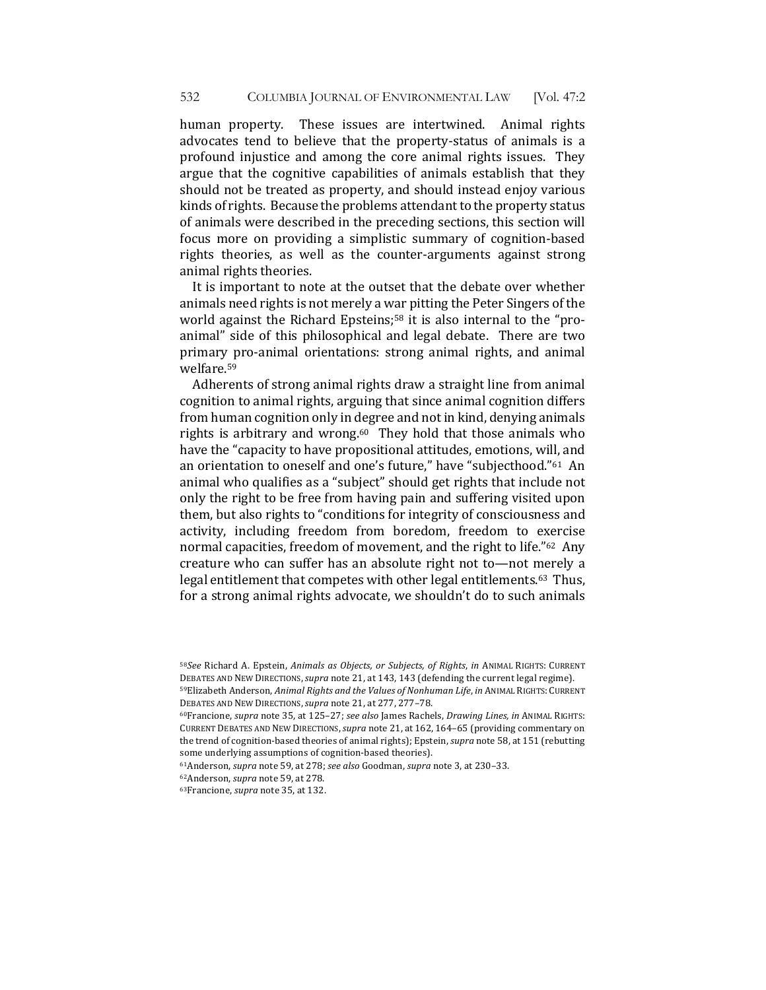human property. These issues are intertwined. Animal rights advocates tend to believe that the property-status of animals is a profound injustice and among the core animal rights issues. They argue that the cognitive capabilities of animals establish that they should not be treated as property, and should instead enjoy various kinds of rights. Because the problems attendant to the property status of animals were described in the preceding sections, this section will focus more on providing a simplistic summary of cognition-based rights theories, as well as the counter-arguments against strong animal rights theories.

It is important to note at the outset that the debate over whether animals need rights is not merely a war pitting the Peter Singers of the world against the Richard Epsteins;<sup>58</sup> it is also internal to the "proanimal" side of this philosophical and legal debate. There are two primary pro-animal orientations: strong animal rights, and animal welfare.59

Adherents of strong animal rights draw a straight line from animal cognition to animal rights, arguing that since animal cognition differs from human cognition only in degree and not in kind, denying animals rights is arbitrary and wrong.<sup>60</sup> They hold that those animals who have the "capacity to have propositional attitudes, emotions, will, and an orientation to oneself and one's future," have "subjecthood."<sup>61</sup> An animal who qualifies as a "subject" should get rights that include not only the right to be free from having pain and suffering visited upon them, but also rights to "conditions for integrity of consciousness and activity, including freedom from boredom, freedom to exercise normal capacities, freedom of movement, and the right to life."<sup>62</sup> Any creature who can suffer has an absolute right not to—not merely a legal entitlement that competes with other legal entitlements.<sup>63</sup> Thus, for a strong animal rights advocate, we shouldn't do to such animals

<sup>58</sup>See Richard A. Epstein, Animals as Objects, or Subjects, of Rights, in ANIMAL RIGHTS: CURRENT DEBATES AND NEW DIRECTIONS, supra note 21, at 143, 143 (defending the current legal regime). 59Elizabeth Anderson, *Animal Rights and the Values of Nonhuman Life*, *in* ANIMAL RIGHTS: CURRENT DEBATES AND NEW DIRECTIONS, *supra* note 21, at 277, 277-78.

<sup>60</sup>Francione, *supra* note 35, at 125-27; *see also* James Rachels, *Drawing Lines, in ANIMAL RIGHTS:* CURRENT DEBATES AND NEW DIRECTIONS, *supra* note 21, at 162, 164-65 (providing commentary on the trend of cognition-based theories of animal rights); Epstein, *supra* note 58, at 151 (rebutting some underlying assumptions of cognition-based theories).

<sup>61</sup>Anderson, *supra* note 59, at 278; *see also* Goodman, *supra* note 3, at 230-33.

<sup>62</sup>Anderson, *supra* note 59, at 278.

<sup>63</sup>Francione, *supra* note 35, at 132.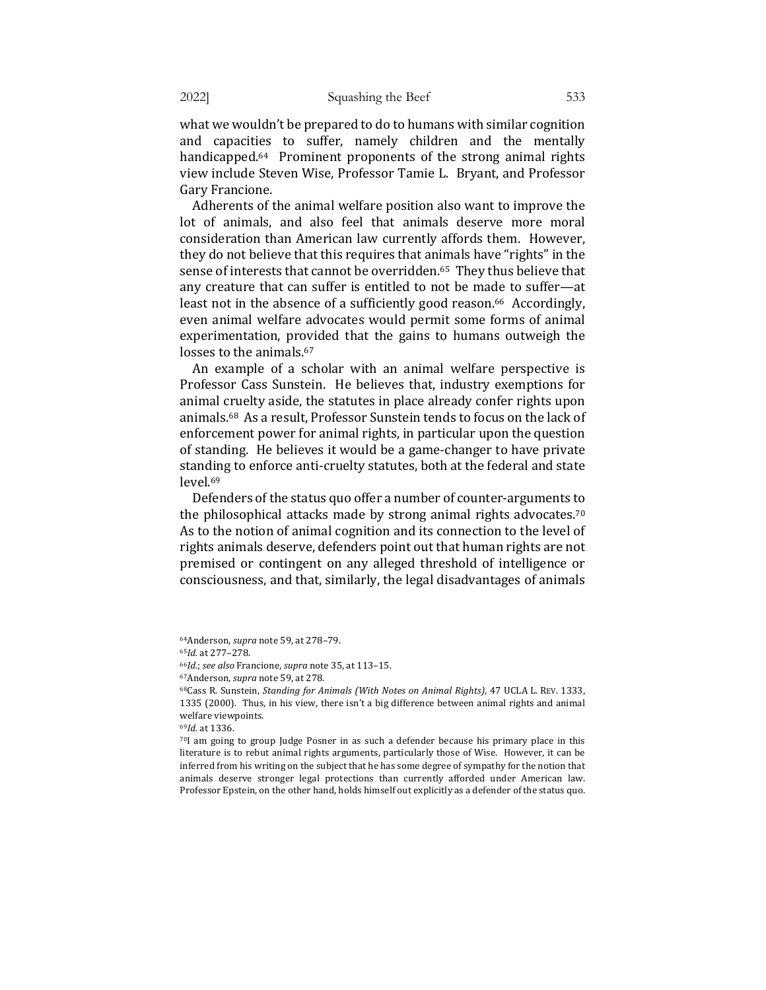what we wouldn't be prepared to do to humans with similar cognition and capacities to suffer, namely children and the mentally handicapped.<sup>64</sup> Prominent proponents of the strong animal rights view include Steven Wise, Professor Tamie L. Bryant, and Professor Gary Francione.

Adherents of the animal welfare position also want to improve the lot of animals, and also feel that animals deserve more moral consideration than American law currently affords them. However, they do not believe that this requires that animals have "rights" in the sense of interests that cannot be overridden.<sup>65</sup> They thus believe that any creature that can suffer is entitled to not be made to suffer-at least not in the absence of a sufficiently good reason.<sup>66</sup> Accordingly, even animal welfare advocates would permit some forms of animal experimentation, provided that the gains to humans outweigh the losses to the animals.<sup>67</sup>

An example of a scholar with an animal welfare perspective is Professor Cass Sunstein. He believes that, industry exemptions for animal cruelty aside, the statutes in place already confer rights upon animals.<sup>68</sup> As a result, Professor Sunstein tends to focus on the lack of enforcement power for animal rights, in particular upon the question of standing. He believes it would be a game-changer to have private standing to enforce anti-cruelty statutes, both at the federal and state level.69

Defenders of the status quo offer a number of counter-arguments to the philosophical attacks made by strong animal rights advocates.<sup>70</sup> As to the notion of animal cognition and its connection to the level of rights animals deserve, defenders point out that human rights are not premised or contingent on any alleged threshold of intelligence or consciousness, and that, similarly, the legal disadvantages of animals

<sup>67</sup>Anderson, *supra* note 59, at 278.

<sup>68</sup>Cass R. Sunstein, *Standing for Animals (With Notes on Animal Rights)*, 47 UCLA L. REV. 1333, 1335 (2000). Thus, in his view, there isn't a big difference between animal rights and animal welfare viewpoints.

<sup>69</sup>*Id.* at 1336. 

70I am going to group Judge Posner in as such a defender because his primary place in this literature is to rebut animal rights arguments, particularly those of Wise. However, it can be inferred from his writing on the subject that he has some degree of sympathy for the notion that animals deserve stronger legal protections than currently afforded under American law. Professor Epstein, on the other hand, holds himself out explicitly as a defender of the status quo.

<sup>64</sup>Anderson, *supra* note 59, at 278-79.

<sup>65</sup>*Id.* at 277–278. 

<sup>66</sup>*Id.*; see also Francione, *supra* note 35, at 113-15.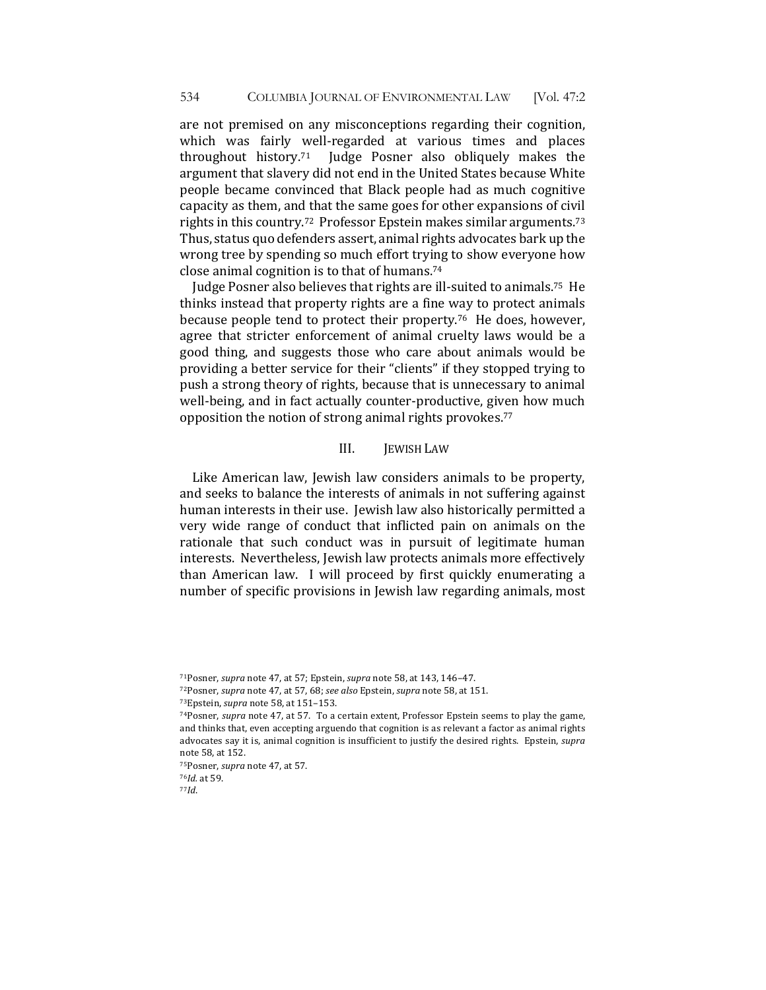are not premised on any misconceptions regarding their cognition, which was fairly well-regarded at various times and places throughout history.<sup>71</sup> Judge Posner also obliquely makes the argument that slavery did not end in the United States because White people became convinced that Black people had as much cognitive capacity as them, and that the same goes for other expansions of civil rights in this country.<sup>72</sup> Professor Epstein makes similar arguments.<sup>73</sup> Thus, status quo defenders assert, animal rights advocates bark up the wrong tree by spending so much effort trying to show everyone how close animal cognition is to that of humans.<sup>74</sup>

Judge Posner also believes that rights are ill-suited to animals.<sup>75</sup> He thinks instead that property rights are a fine way to protect animals because people tend to protect their property.<sup>76</sup> He does, however, agree that stricter enforcement of animal cruelty laws would be a good thing, and suggests those who care about animals would be providing a better service for their "clients" if they stopped trying to push a strong theory of rights, because that is unnecessary to animal well-being, and in fact actually counter-productive, given how much opposition the notion of strong animal rights provokes.<sup>77</sup>

## III. **IEWISH LAW**

Like American law, Jewish law considers animals to be property, and seeks to balance the interests of animals in not suffering against human interests in their use. Jewish law also historically permitted a very wide range of conduct that inflicted pain on animals on the rationale that such conduct was in pursuit of legitimate human interests. Nevertheless, Jewish law protects animals more effectively than American law. I will proceed by first quickly enumerating a number of specific provisions in Jewish law regarding animals, most

77*Id*.

<sup>71</sup>Posner, *supra* note 47, at 57; Epstein, *supra* note 58, at 143, 146-47.

<sup>72</sup>Posner, *supra* note 47, at 57, 68; *see also* Epstein, *supra* note 58, at 151.

<sup>73</sup>Epstein, *supra* note 58, at 151-153.

<sup>74</sup>Posner, *supra* note 47, at 57. To a certain extent, Professor Epstein seems to play the game, and thinks that, even accepting arguendo that cognition is as relevant a factor as animal rights advocates say it is, animal cognition is insufficient to justify the desired rights. Epstein, *supra* note 58, at 152.

<sup>&</sup>lt;sup>75</sup>Posner, *supra* note 47, at 57.

<sup>76</sup>*Id.* at 59.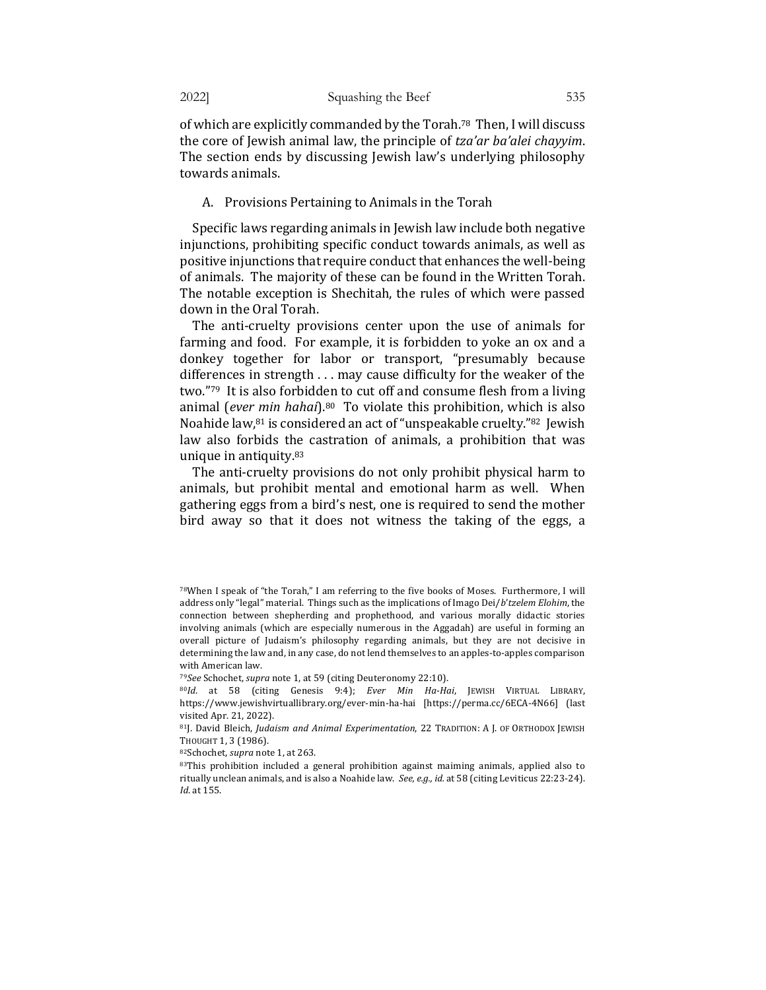of which are explicitly commanded by the Torah.<sup>78</sup> Then, I will discuss the core of Jewish animal law, the principle of *tza'ar ba'alei chayyim*. The section ends by discussing Jewish law's underlying philosophy towards animals.

#### A. Provisions Pertaining to Animals in the Torah

Specific laws regarding animals in Jewish law include both negative injunctions, prohibiting specific conduct towards animals, as well as positive injunctions that require conduct that enhances the well-being of animals. The majority of these can be found in the Written Torah. The notable exception is Shechitah, the rules of which were passed down in the Oral Torah.

The anti-cruelty provisions center upon the use of animals for farming and food. For example, it is forbidden to yoke an ox and a donkey together for labor or transport, "presumably because differences in strength  $\dots$  may cause difficulty for the weaker of the two." $79$  It is also forbidden to cut off and consume flesh from a living animal (*ever min hahai*).<sup>80</sup> To violate this prohibition, which is also Noahide law, $81$  is considered an act of "unspeakable cruelty." $82$  Jewish law also forbids the castration of animals, a prohibition that was unique in antiquity. $83$ 

The anti-cruelty provisions do not only prohibit physical harm to animals, but prohibit mental and emotional harm as well. When gathering eggs from a bird's nest, one is required to send the mother bird away so that it does not witness the taking of the eggs, a

<sup>79</sup>See Schochet, *supra* note 1, at 59 (citing Deuteronomy 22:10).

<sup>82</sup>Schochet, *supra* note 1, at 263.

83This prohibition included a general prohibition against maiming animals, applied also to ritually unclean animals, and is also a Noahide law. See, e.g., id. at 58 (citing Leviticus 22:23-24). *Id.* at 155.

 $78$ When I speak of "the Torah," I am referring to the five books of Moses. Furthermore, I will address only "legal" material. Things such as the implications of Imago Dei/*b'tzelem Elohim*, the connection between shepherding and prophethood, and various morally didactic stories involving animals (which are especially numerous in the Aggadah) are useful in forming an overall picture of Judaism's philosophy regarding animals, but they are not decisive in determining the law and, in any case, do not lend themselves to an apples-to-apples comparison with American law.

<sup>80</sup>*Id*. at 58 (citing Genesis 9:4); *Ever Min Ha-Hai*, JEWISH VIRTUAL LIBRARY, https://www.jewishvirtuallibrary.org/ever-min-ha-hai [https://perma.cc/6ECA-4N66] [last visited Apr. 21, 2022).

<sup>81</sup>J. David Bleich, *Judaism and Animal Experimentation*, 22 TRADITION: A J. OF ORTHODOX JEWISH THOUGHT 1, 3 (1986).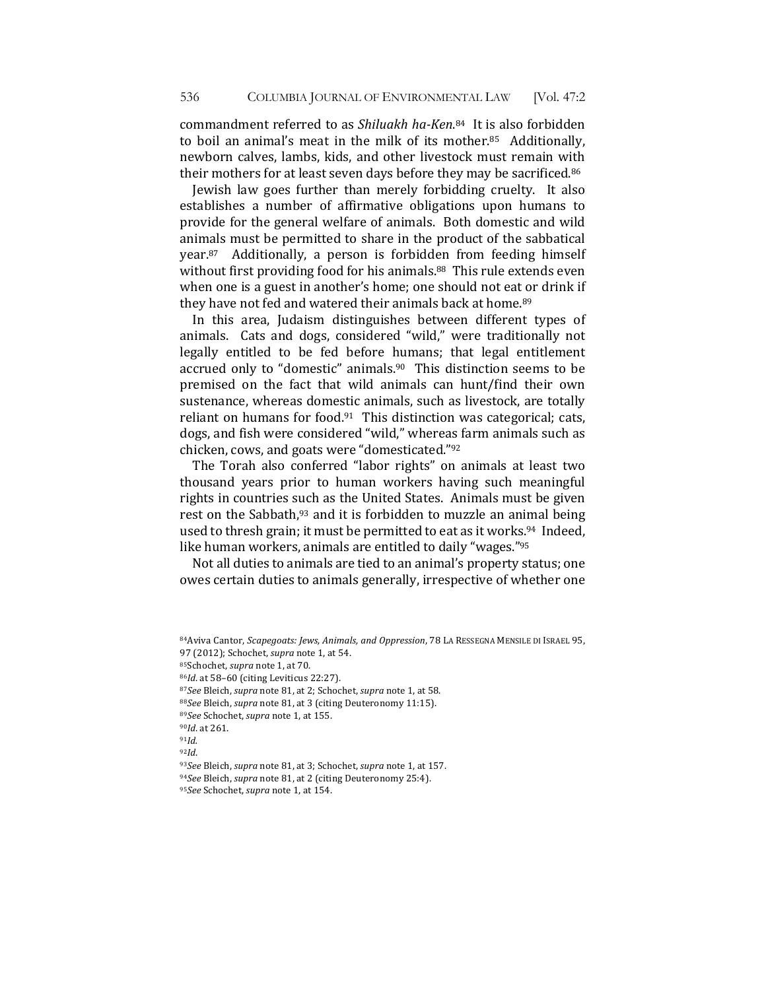commandment referred to as *Shiluakh ha-Ken*.<sup>84</sup> It is also forbidden to boil an animal's meat in the milk of its mother. $85$  Additionally, newborn calves, lambs, kids, and other livestock must remain with their mothers for at least seven days before they may be sacrificed.<sup>86</sup>

Jewish law goes further than merely forbidding cruelty. It also establishes a number of affirmative obligations upon humans to provide for the general welfare of animals. Both domestic and wild animals must be permitted to share in the product of the sabbatical year.<sup>87</sup> Additionally, a person is forbidden from feeding himself without first providing food for his animals.<sup>88</sup> This rule extends even when one is a guest in another's home; one should not eat or drink if they have not fed and watered their animals back at home.<sup>89</sup>

In this area, Judaism distinguishes between different types of animals. Cats and dogs, considered "wild," were traditionally not legally entitled to be fed before humans; that legal entitlement accrued only to "domestic" animals. $90$  This distinction seems to be premised on the fact that wild animals can hunt/find their own sustenance, whereas domestic animals, such as livestock, are totally reliant on humans for food. $91$  This distinction was categorical; cats, dogs, and fish were considered "wild," whereas farm animals such as chicken, cows, and goats were "domesticated."92

The Torah also conferred "labor rights" on animals at least two thousand years prior to human workers having such meaningful rights in countries such as the United States. Animals must be given rest on the Sabbath, $93$  and it is forbidden to muzzle an animal being used to thresh grain; it must be permitted to eat as it works.<sup>94</sup> Indeed, like human workers, animals are entitled to daily "wages."<sup>95</sup>

Not all duties to animals are tied to an animal's property status; one owes certain duties to animals generally, irrespective of whether one

<sup>84</sup> Aviva Cantor, *Scapegoats: Jews, Animals, and Oppression*, 78 LA RESSEGNA MENSILE DI ISRAEL 95, 97 (2012); Schochet, *supra* note 1, at 54.

<sup>&</sup>lt;sup>85</sup>Schochet, *supra* note 1, at 70.

<sup>86</sup>*Id*. at 58-60 (citing Leviticus 22:27).

<sup>87</sup>*See* Bleich, *supra* note 81, at 2; Schochet, *supra* note 1, at 58.

<sup>88</sup>*See* Bleich, *supra* note 81, at 3 (citing Deuteronomy 11:15).

<sup>89</sup>*See* Schochet, *supra* note 1, at 155.

<sup>90</sup>*Id*. at 261. 

<sup>91</sup>*Id.*

<sup>92</sup>*Id*.

<sup>93</sup>*See* Bleich, *supra* note 81, at 3; Schochet, *supra* note 1, at 157.

<sup>94</sup>*See* Bleich, *supra* note 81, at 2 (citing Deuteronomy 25:4).

<sup>95</sup>See Schochet, *supra* note 1, at 154.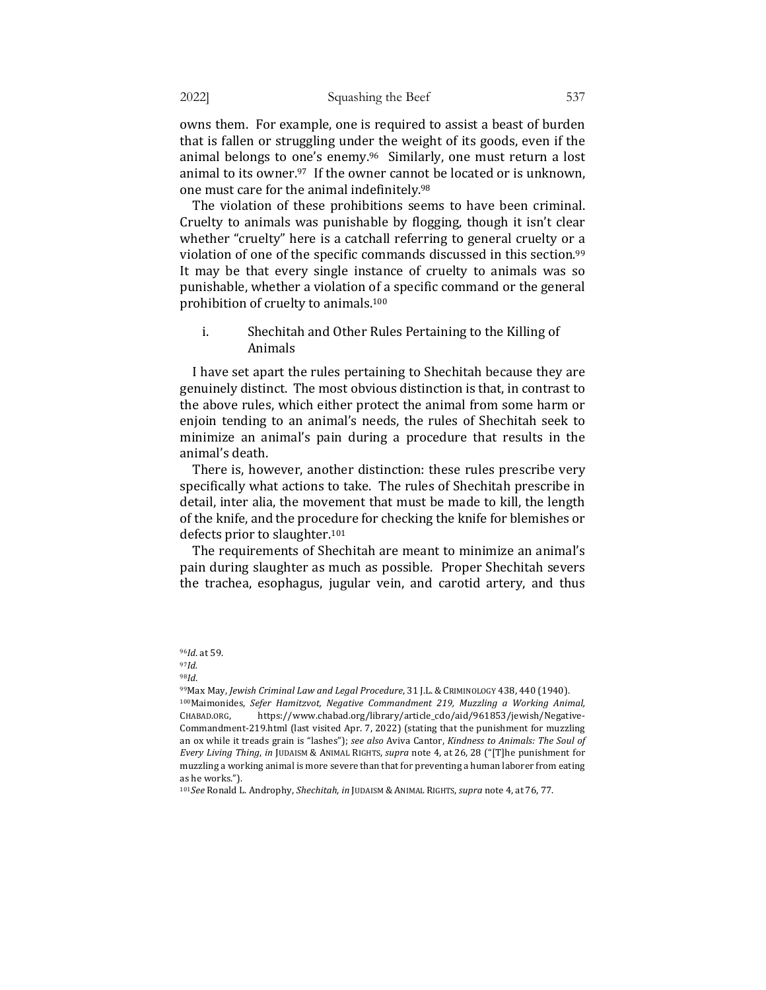owns them. For example, one is required to assist a beast of burden that is fallen or struggling under the weight of its goods, even if the animal belongs to one's enemy. $96$  Similarly, one must return a lost animal to its owner. $97$  If the owner cannot be located or is unknown, one must care for the animal indefinitely.<sup>98</sup>

The violation of these prohibitions seems to have been criminal. Cruelty to animals was punishable by flogging, though it isn't clear whether "cruelty" here is a catchall referring to general cruelty or a violation of one of the specific commands discussed in this section.<sup>99</sup> It may be that every single instance of cruelty to animals was so punishable, whether a violation of a specific command or the general prohibition of cruelty to animals.<sup>100</sup>

i. Shechitah and Other Rules Pertaining to the Killing of Animals

I have set apart the rules pertaining to Shechitah because they are genuinely distinct. The most obvious distinction is that, in contrast to the above rules, which either protect the animal from some harm or enjoin tending to an animal's needs, the rules of Shechitah seek to minimize an animal's pain during a procedure that results in the animal's death.

There is, however, another distinction: these rules prescribe very specifically what actions to take. The rules of Shechitah prescribe in detail, inter alia, the movement that must be made to kill, the length of the knife, and the procedure for checking the knife for blemishes or defects prior to slaughter.<sup>101</sup>

The requirements of Shechitah are meant to minimize an animal's pain during slaughter as much as possible. Proper Shechitah severs the trachea, esophagus, jugular vein, and carotid artery, and thus

<sup>98</sup>*Id*. 

101*See* Ronald L. Androphy, *Shechitah*, in JUDAISM & ANIMAL RIGHTS, supra note 4, at 76, 77.

<sup>96</sup>*Id*. at 59.

<sup>97</sup>*Id.*

<sup>99</sup>Max May, *Jewish Criminal Law and Legal Procedure*, 31 J.L. & CRIMINOLOGY 438, 440 (1940). <sup>100</sup>Maimonides, *Sefer Hamitzvot, Negative Commandment 219, Muzzling a Working Animal,* CHABAD.ORG, https://www.chabad.org/library/article\_cdo/aid/961853/jewish/Negative-Commandment-219.html (last visited Apr. 7, 2022) (stating that the punishment for muzzling an ox while it treads grain is "lashes"); see also Aviva Cantor, *Kindness to Animals: The Soul of Every Living Thing, in* JUDAISM & ANIMAL RIGHTS, *supra* note 4, at 26, 28 ("[T]he punishment for muzzling a working animal is more severe than that for preventing a human laborer from eating as he works.").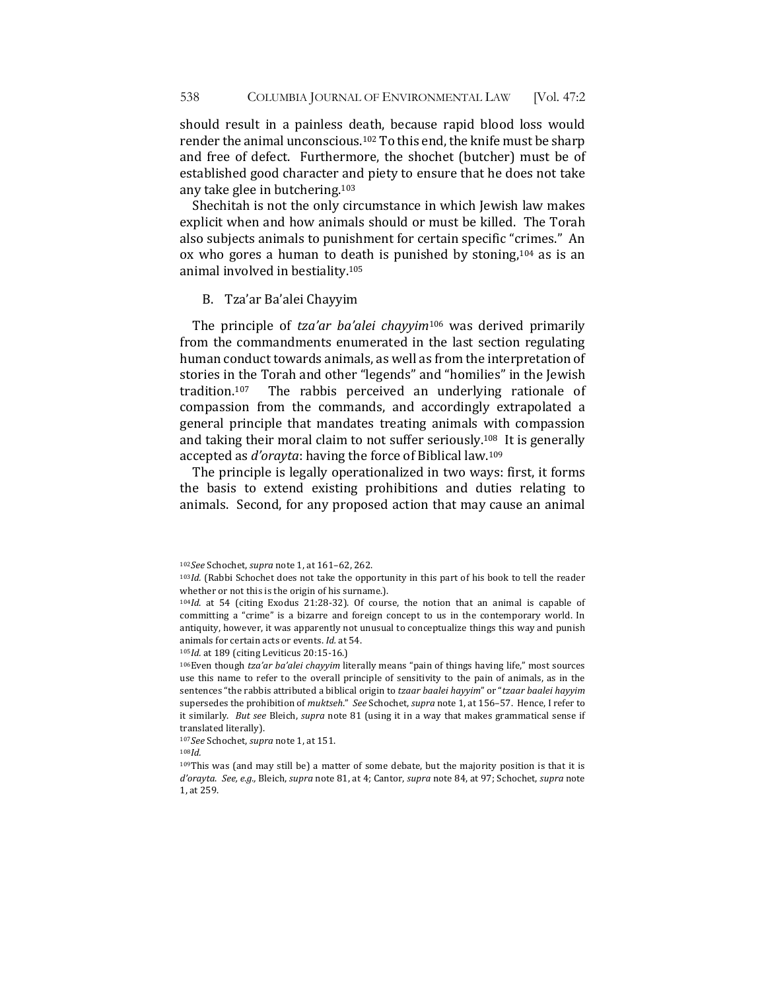should result in a painless death, because rapid blood loss would render the animal unconscious.<sup>102</sup> To this end, the knife must be sharp and free of defect. Furthermore, the shochet (butcher) must be of established good character and piety to ensure that he does not take any take glee in butchering.<sup>103</sup>

Shechitah is not the only circumstance in which Jewish law makes explicit when and how animals should or must be killed. The Torah also subjects animals to punishment for certain specific "crimes." An ox who gores a human to death is punished by stoning,<sup>104</sup> as is an animal involved in bestiality.<sup>105</sup>

### B. Tza'ar Ba'alei Chayyim

The principle of *tza'ar ba'alei chayyim*<sup>106</sup> was derived primarily from the commandments enumerated in the last section regulating human conduct towards animals, as well as from the interpretation of stories in the Torah and other "legends" and "homilies" in the Jewish tradition.<sup>107</sup> The rabbis perceived an underlying rationale of compassion from the commands, and accordingly extrapolated a general principle that mandates treating animals with compassion and taking their moral claim to not suffer seriously.<sup>108</sup> It is generally accepted as *d'orayta*: having the force of Biblical law.<sup>109</sup>

The principle is legally operationalized in two ways: first, it forms the basis to extend existing prohibitions and duties relating to animals. Second, for any proposed action that may cause an animal

105*Id.* at 189 (citing Leviticus 20:15-16.)

<sup>102</sup>*See* Schochet, *supra* note 1, at 161-62, 262.

<sup>&</sup>lt;sup>103</sup>*Id.* (Rabbi Schochet does not take the opportunity in this part of his book to tell the reader whether or not this is the origin of his surname.).

<sup>&</sup>lt;sup>104</sup>*Id*. at 54 (citing Exodus 21:28-32). Of course, the notion that an animal is capable of committing a "crime" is a bizarre and foreign concept to us in the contemporary world. In antiquity, however, it was apparently not unusual to conceptualize things this way and punish animals for certain acts or events. *Id.* at 54.

<sup>&</sup>lt;sup>106</sup>Even though *tza'ar ba'alei chayyim* literally means "pain of things having life," most sources use this name to refer to the overall principle of sensitivity to the pain of animals, as in the sentences "the rabbis attributed a biblical origin to *tzaar baalei hayyim*" or "*tzaar baalei hayyim* supersedes the prohibition of *muktseh."* See Schochet, supra note 1, at 156–57. Hence, I refer to it similarly. But see Bleich, *supra* note 81 (using it in a way that makes grammatical sense if translated literally).

<sup>107</sup>See Schochet, *supra* note 1, at 151.

 $108$ *Id.* 

 $109$ This was (and may still be) a matter of some debate, but the majority position is that it is *d'orayta*. *See, e.g.,* Bleich, *supra* note 81, at 4; Cantor, *supra* note 84, at 97; Schochet, *supra* note 1, at 259.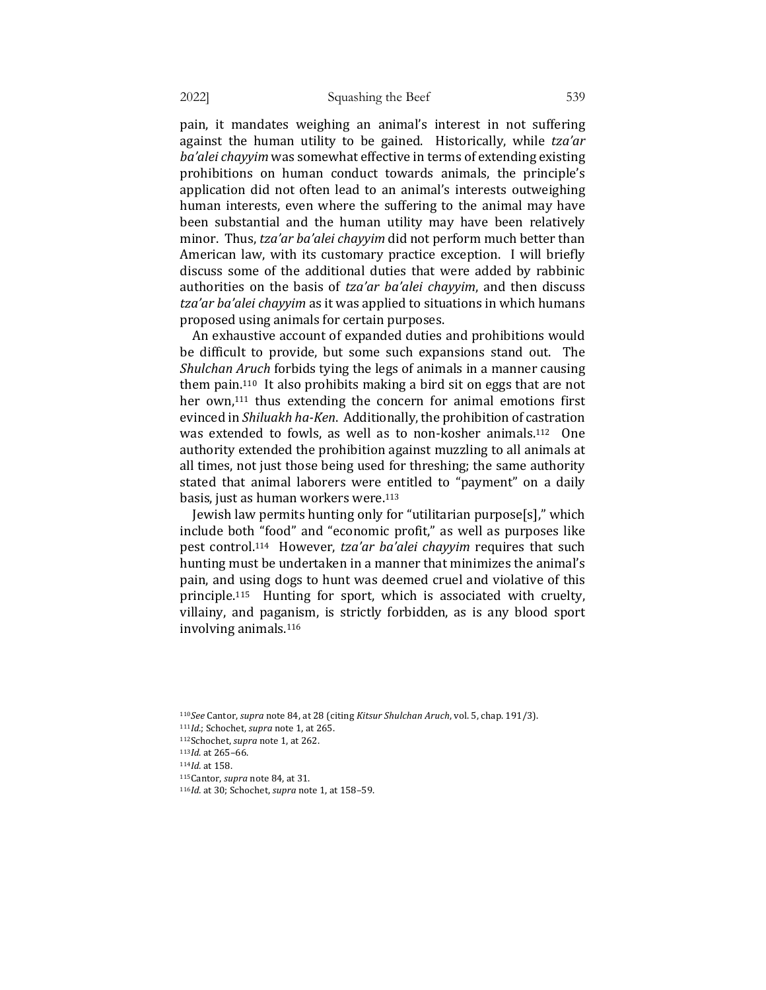pain, it mandates weighing an animal's interest in not suffering against the human utility to be gained. Historically, while tza'ar ba'alei chayyim was somewhat effective in terms of extending existing prohibitions on human conduct towards animals, the principle's application did not often lead to an animal's interests outweighing human interests, even where the suffering to the animal may have been substantial and the human utility may have been relatively minor. Thus, tza'ar ba'alei chayyim did not perform much better than American law, with its customary practice exception. I will briefly discuss some of the additional duties that were added by rabbinic authorities on the basis of *tza'ar ba'alei chayyim*, and then discuss tza'ar ba'alei chayyim as it was applied to situations in which humans proposed using animals for certain purposes.

An exhaustive account of expanded duties and prohibitions would be difficult to provide, but some such expansions stand out. The *Shulchan Aruch* forbids tying the legs of animals in a manner causing them pain.<sup>110</sup> It also prohibits making a bird sit on eggs that are not her own, $111$  thus extending the concern for animal emotions first evinced in *Shiluakh ha-Ken*. Additionally, the prohibition of castration was extended to fowls, as well as to non-kosher animals.<sup>112</sup> One authority extended the prohibition against muzzling to all animals at all times, not just those being used for threshing; the same authority stated that animal laborers were entitled to "payment" on a daily basis, just as human workers were.<sup>113</sup>

Jewish law permits hunting only for "utilitarian purpose[s]," which include both "food" and "economic profit," as well as purposes like pest control.<sup>114</sup> However, *tza'ar ba'alei chayyim* requires that such hunting must be undertaken in a manner that minimizes the animal's pain, and using dogs to hunt was deemed cruel and violative of this principle.<sup>115</sup> Hunting for sport, which is associated with cruelty, villainy, and paganism, is strictly forbidden, as is any blood sport involving animals.<sup>116</sup>

110See Cantor, *supra* note 84, at 28 (citing Kitsur Shulchan Aruch, vol. 5, chap. 191/3). 111*Id.*; Schochet, *supra* note 1, at 265. 112Schochet, *supra* note 1, at 262. 113*Id*. at 265-66. 114*Id.* at 158. 115 Cantor, *supra* note 84, at 31. 116*Id.* at 30; Schochet, *supra* note 1, at 158-59.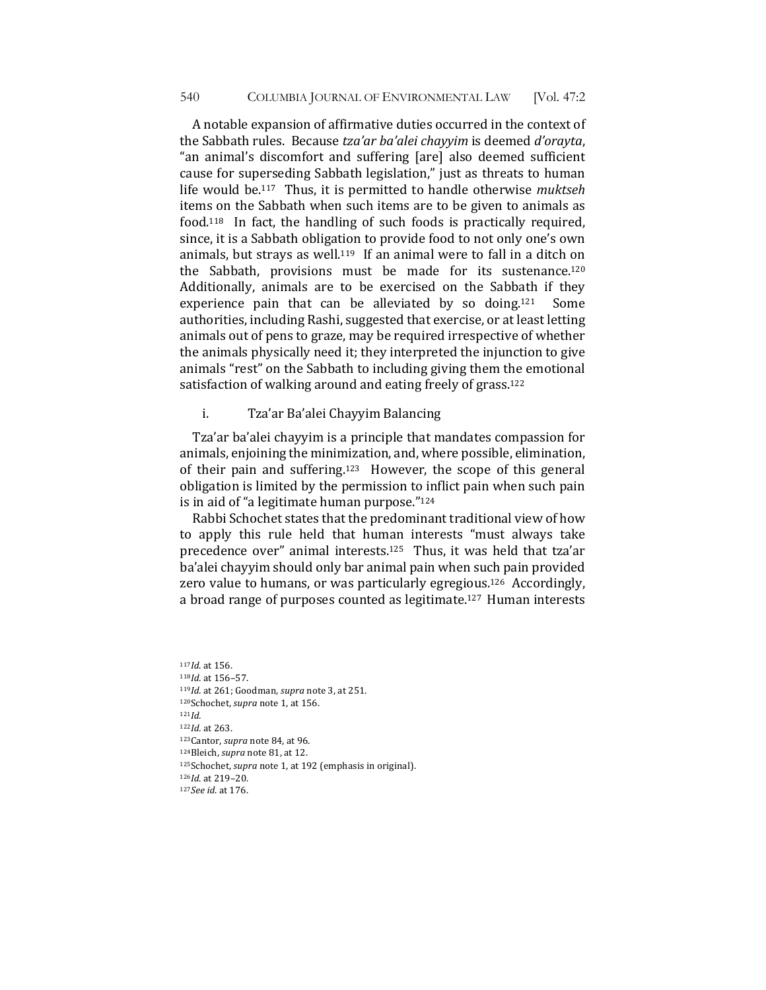A notable expansion of affirmative duties occurred in the context of the Sabbath rules. Because *tza'ar ba'alei chayyim* is deemed *d'orayta*, "an animal's discomfort and suffering [are] also deemed sufficient cause for superseding Sabbath legislation," just as threats to human life would be.<sup>117</sup> Thus, it is permitted to handle otherwise *muktseh* items on the Sabbath when such items are to be given to animals as food.<sup>118</sup> In fact, the handling of such foods is practically required, since, it is a Sabbath obligation to provide food to not only one's own animals, but strays as well.<sup>119</sup> If an animal were to fall in a ditch on the Sabbath, provisions must be made for its sustenance.<sup>120</sup> Additionally, animals are to be exercised on the Sabbath if they experience pain that can be alleviated by so doing.<sup>121</sup> Some authorities, including Rashi, suggested that exercise, or at least letting animals out of pens to graze, may be required irrespective of whether the animals physically need it; they interpreted the injunction to give animals "rest" on the Sabbath to including giving them the emotional satisfaction of walking around and eating freely of grass.<sup>122</sup>

i. Tza'ar Ba'alei Chayyim Balancing

Tza'ar ba'alei chayyim is a principle that mandates compassion for animals, enjoining the minimization, and, where possible, elimination, of their pain and suffering.<sup>123</sup> However, the scope of this general obligation is limited by the permission to inflict pain when such pain is in aid of "a legitimate human purpose." $124$ 

Rabbi Schochet states that the predominant traditional view of how to apply this rule held that human interests "must always take precedence over" animal interests.<sup>125</sup> Thus, it was held that tza'ar ba'alei chayyim should only bar animal pain when such pain provided zero value to humans, or was particularly egregious.<sup>126</sup> Accordingly, a broad range of purposes counted as legitimate.<sup>127</sup> Human interests

117*Id*. at 156. 118*Id.* at 156-57. 119*Id.* at 261; Goodman, *supra* note 3, at 251. 120Schochet, *supra* note 1, at 156. <sup>121</sup>*Id.* 122*Id.* at 263. 123 Cantor, *supra* note 84, at 96. 124Bleich, *supra* note 81, at 12. 125Schochet, *supra* note 1, at 192 (emphasis in original). 126*Id*. at 219-20. 127*See id.* at 176.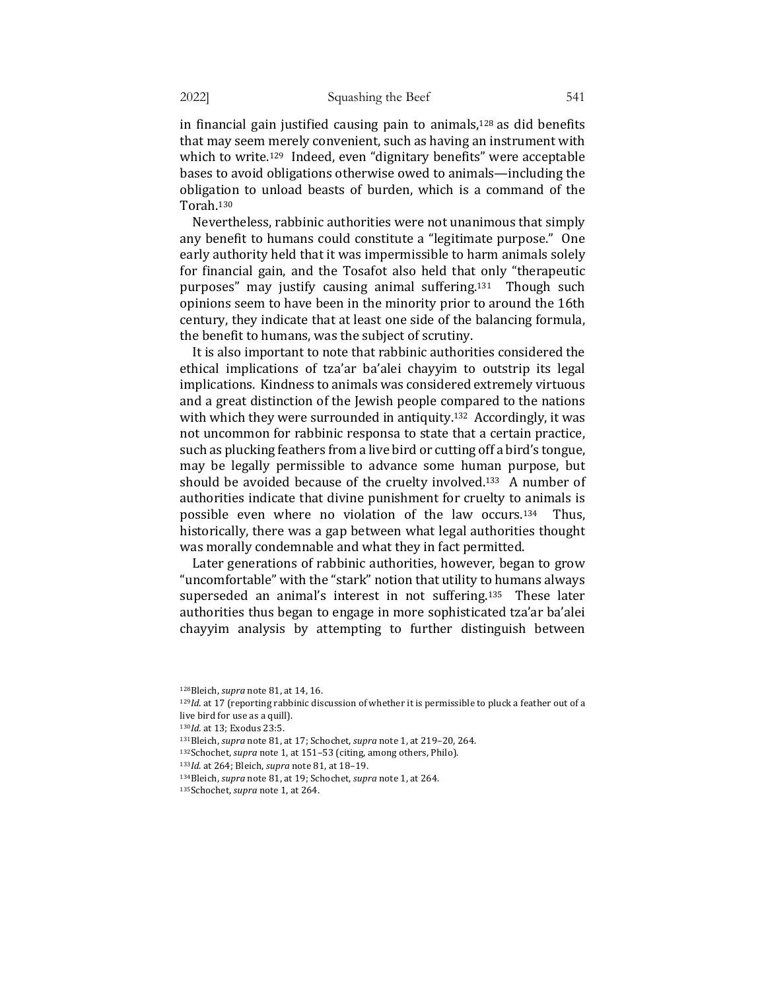in financial gain justified causing pain to animals,<sup>128</sup> as did benefits that may seem merely convenient, such as having an instrument with which to write.<sup>129</sup> Indeed, even "dignitary benefits" were acceptable bases to avoid obligations otherwise owed to animals—including the obligation to unload beasts of burden, which is a command of the Torah.130 

Nevertheless, rabbinic authorities were not unanimous that simply any benefit to humans could constitute a "legitimate purpose." One early authority held that it was impermissible to harm animals solely for financial gain, and the Tosafot also held that only "therapeutic purposes" may justify causing animal suffering.<sup>131</sup> Though such opinions seem to have been in the minority prior to around the 16th century, they indicate that at least one side of the balancing formula, the benefit to humans, was the subject of scrutiny.

It is also important to note that rabbinic authorities considered the ethical implications of tza'ar ba'alei chayyim to outstrip its legal implications. Kindness to animals was considered extremely virtuous and a great distinction of the Jewish people compared to the nations with which they were surrounded in antiquity.<sup>132</sup> Accordingly, it was not uncommon for rabbinic responsa to state that a certain practice, such as plucking feathers from a live bird or cutting off a bird's tongue, may be legally permissible to advance some human purpose, but should be avoided because of the cruelty involved.<sup>133</sup> A number of authorities indicate that divine punishment for cruelty to animals is possible even where no violation of the law occurs.<sup>134</sup> Thus, historically, there was a gap between what legal authorities thought was morally condemnable and what they in fact permitted.

Later generations of rabbinic authorities, however, began to grow "uncomfortable" with the "stark" notion that utility to humans always superseded an animal's interest in not suffering.<sup>135</sup> These later authorities thus began to engage in more sophisticated tza'ar ba'alei chayyim analysis by attempting to further distinguish between

<sup>129</sup>*Id*. at 17 (reporting rabbinic discussion of whether it is permissible to pluck a feather out of a live bird for use as a quill).

130*Id.* at 13; Exodus 23:5.

- 131Bleich, *supra* note 81, at 17; Schochet, *supra* note 1, at 219-20, 264.
- 132Schochet, *supra* note 1, at 151-53 (citing, among others, Philo).

133*Id.* at 264; Bleich, *supra* note 81, at 18-19.

<sup>128</sup>Bleich, *supra* note 81, at 14, 16.

<sup>134</sup>Bleich, *supra* note 81, at 19; Schochet, *supra* note 1, at 264.

<sup>135</sup>Schochet, *supra* note 1, at 264.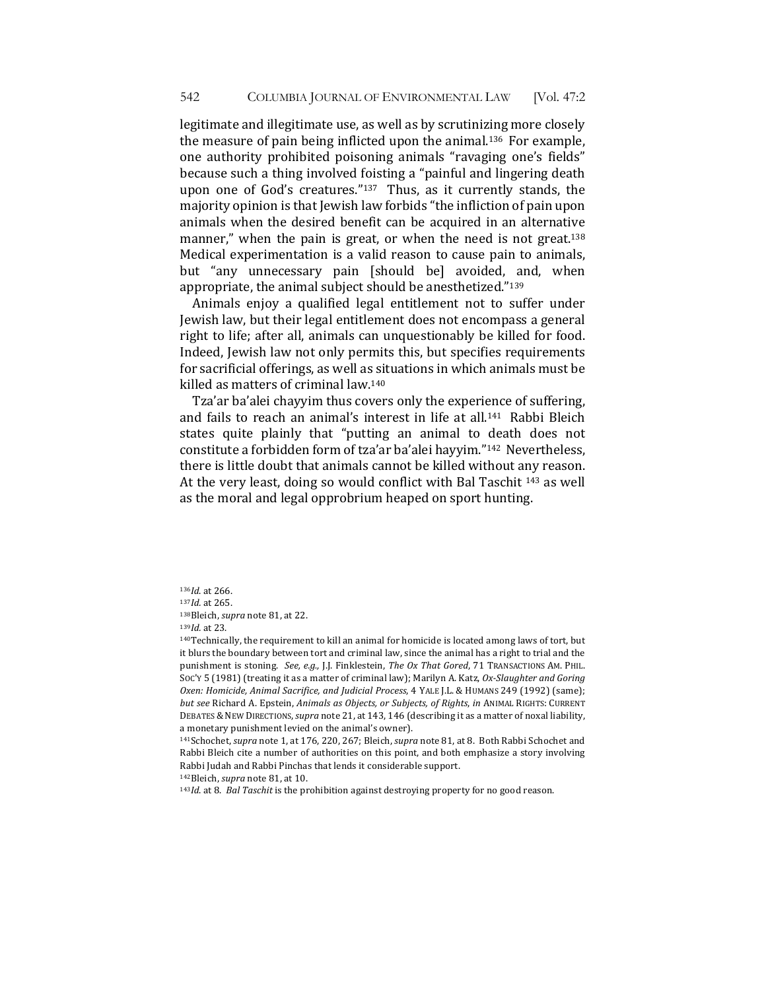legitimate and illegitimate use, as well as by scrutinizing more closely the measure of pain being inflicted upon the animal.<sup>136</sup> For example, one authority prohibited poisoning animals "ravaging one's fields" because such a thing involved foisting a "painful and lingering death upon one of God's creatures." $137$  Thus, as it currently stands, the majority opinion is that Jewish law forbids "the infliction of pain upon animals when the desired benefit can be acquired in an alternative manner," when the pain is great, or when the need is not great.<sup>138</sup> Medical experimentation is a valid reason to cause pain to animals, but "any unnecessary pain [should be] avoided, and, when appropriate, the animal subject should be anesthetized."<sup>139</sup>

Animals enjoy a qualified legal entitlement not to suffer under Jewish law, but their legal entitlement does not encompass a general right to life; after all, animals can unquestionably be killed for food. Indeed, Jewish law not only permits this, but specifies requirements for sacrificial offerings, as well as situations in which animals must be killed as matters of criminal law.<sup>140</sup>

Tza'ar ba'alei chayyim thus covers only the experience of suffering, and fails to reach an animal's interest in life at all.<sup>141</sup> Rabbi Bleich states quite plainly that "putting an animal to death does not constitute a forbidden form of tza'ar ba'alei hayyim."<sup>142</sup> Nevertheless, there is little doubt that animals cannot be killed without any reason. At the very least, doing so would conflict with Bal Taschit <sup>143</sup> as well as the moral and legal opprobrium heaped on sport hunting.

136*Id*. at 266.

138Bleich, *supra* note 81, at 22.

<sup>139</sup>*Id.* at 23. 

140Technically, the requirement to kill an animal for homicide is located among laws of tort, but it blurs the boundary between tort and criminal law, since the animal has a right to trial and the punishment is stoning. See, e.g., J.J. Finklestein, The Ox That Gored, 71 TRANSACTIONS AM. PHIL. Soc'y 5 (1981) (treating it as a matter of criminal law); Marilyn A. Katz, Ox-Slaughter and Goring *Oxen: Homicide, Animal Sacrifice, and Judicial Process, 4 YALE J.L. & HUMANS 249 (1992) (same); but see* Richard A. Epstein, *Animals as Objects, or Subjects, of Rights, in ANIMAL RIGHTS: CURRENT* DEBATES & NEW DIRECTIONS, supra note 21, at 143, 146 (describing it as a matter of noxal liability, a monetary punishment levied on the animal's owner).

141Schochet, *supra* note 1, at 176, 220, 267; Bleich, *supra* note 81, at 8. Both Rabbi Schochet and Rabbi Bleich cite a number of authorities on this point, and both emphasize a story involving Rabbi Judah and Rabbi Pinchas that lends it considerable support.

142Bleich, *supra* note 81, at 10.

<sup>143</sup>Id. at 8. *Bal Taschit* is the prohibition against destroying property for no good reason.

<sup>137</sup>*Id.* at 265.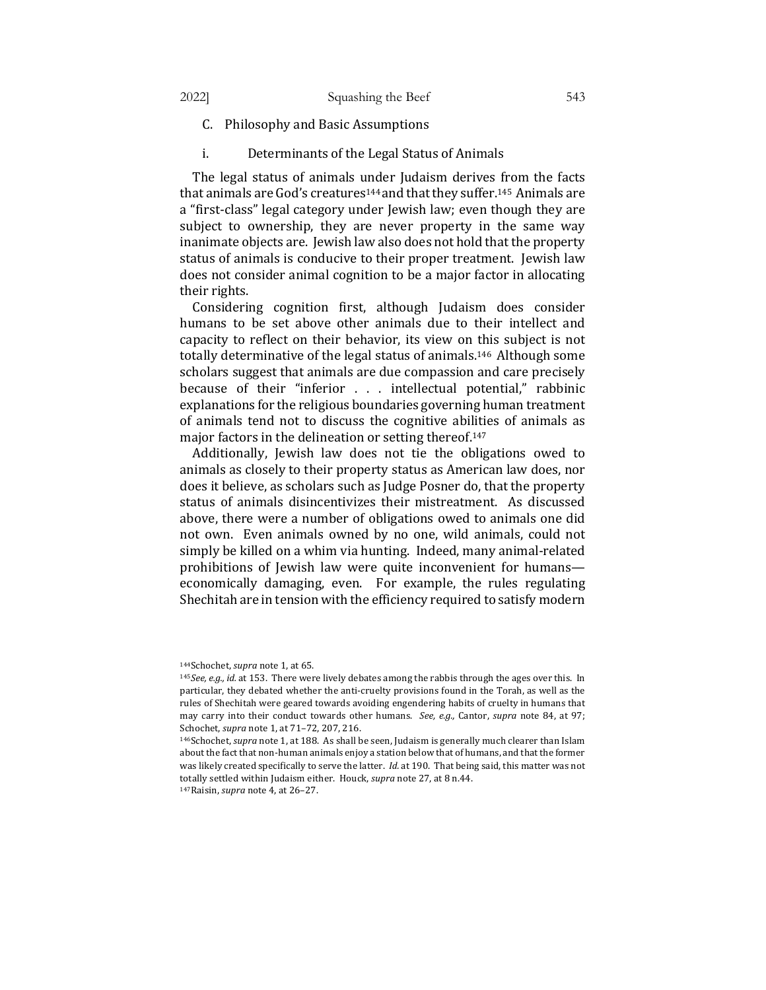- C. Philosophy and Basic Assumptions
- i. Determinants of the Legal Status of Animals

The legal status of animals under Judaism derives from the facts that animals are God's creatures<sup>144</sup> and that they suffer.<sup>145</sup> Animals are a "first-class" legal category under Jewish law; even though they are subject to ownership, they are never property in the same way inanimate objects are. Jewish law also does not hold that the property status of animals is conducive to their proper treatment. Jewish law does not consider animal cognition to be a major factor in allocating their rights.

Considering cognition first, although Judaism does consider humans to be set above other animals due to their intellect and capacity to reflect on their behavior, its view on this subject is not totally determinative of the legal status of animals.<sup>146</sup> Although some scholars suggest that animals are due compassion and care precisely because of their "inferior . . . intellectual potential," rabbinic explanations for the religious boundaries governing human treatment of animals tend not to discuss the cognitive abilities of animals as major factors in the delineation or setting thereof.<sup>147</sup>

Additionally, Jewish law does not tie the obligations owed to animals as closely to their property status as American law does, nor does it believe, as scholars such as Judge Posner do, that the property status of animals disincentivizes their mistreatment. As discussed above, there were a number of obligations owed to animals one did not own. Even animals owned by no one, wild animals, could not simply be killed on a whim via hunting. Indeed, many animal-related prohibitions of Jewish law were quite inconvenient for humans economically damaging, even. For example, the rules regulating Shechitah are in tension with the efficiency required to satisfy modern

<sup>144</sup>Schochet, *supra* note 1, at 65.

<sup>145</sup>See, e.g., id. at 153. There were lively debates among the rabbis through the ages over this. In particular, they debated whether the anti-cruelty provisions found in the Torah, as well as the rules of Shechitah were geared towards avoiding engendering habits of cruelty in humans that may carry into their conduct towards other humans. See, e.g., Cantor, supra note 84, at 97; Schochet, *supra* note 1, at 71-72, 207, 216.

<sup>&</sup>lt;sup>146</sup>Schochet, *supra* note 1, at 188. As shall be seen, Judaism is generally much clearer than Islam about the fact that non-human animals enjoy a station below that of humans, and that the former was likely created specifically to serve the latter. *Id.* at 190. That being said, this matter was not totally settled within Judaism either. Houck, *supra* note 27, at 8 n.44.

<sup>147</sup>Raisin, *supra* note 4, at 26-27.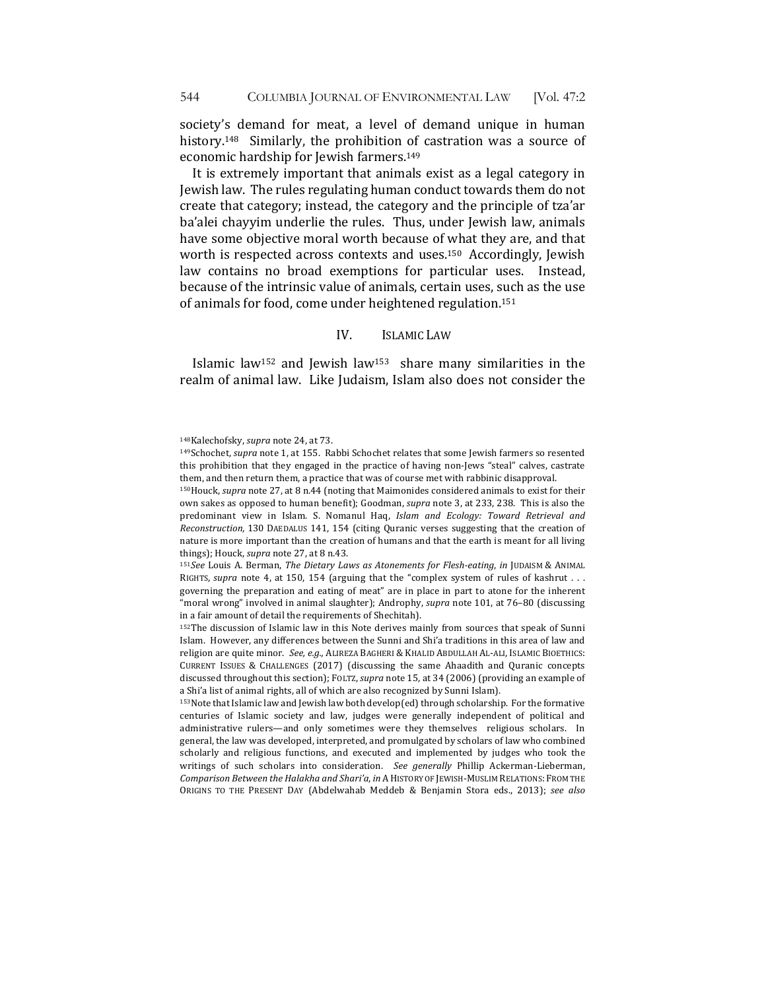society's demand for meat, a level of demand unique in human history.<sup>148</sup> Similarly, the prohibition of castration was a source of economic hardship for Jewish farmers.<sup>149</sup>

It is extremely important that animals exist as a legal category in Jewish law. The rules regulating human conduct towards them do not create that category; instead, the category and the principle of tza'ar ba'alei chayyim underlie the rules. Thus, under Jewish law, animals have some objective moral worth because of what they are, and that worth is respected across contexts and uses.<sup>150</sup> Accordingly, Jewish law contains no broad exemptions for particular uses. Instead, because of the intrinsic value of animals, certain uses, such as the use of animals for food, come under heightened regulation.<sup>151</sup>

#### IV. ISLAMIC LAW

Islamic law<sup>152</sup> and Jewish law<sup>153</sup> share many similarities in the realm of animal law. Like Judaism, Islam also does not consider the

<sup>150</sup>Houck, *supra* note 27, at 8 n.44 (noting that Maimonides considered animals to exist for their own sakes as opposed to human benefit); Goodman, *supra* note 3, at 233, 238. This is also the predominant view in Islam. S. Nomanul Haq, *Islam and Ecology: Toward Retrieval and Reconstruction,* 130 DAEDALUS 141, 154 (citing Quranic verses suggesting that the creation of nature is more important than the creation of humans and that the earth is meant for all living things); Houck, *supra* note 27, at 8 n.43.

151See Louis A. Berman, *The Dietary Laws as Atonements for Flesh-eating*, *in* JUDAISM & ANIMAL RIGHTS, *supra* note 4, at 150, 154 (arguing that the "complex system of rules of kashrut . . . governing the preparation and eating of meat" are in place in part to atone for the inherent "moral wrong" involved in animal slaughter); Androphy, *supra* note 101, at 76-80 (discussing in a fair amount of detail the requirements of Shechitah).

 $152$ The discussion of Islamic law in this Note derives mainly from sources that speak of Sunni Islam. However, any differences between the Sunni and Shi'a traditions in this area of law and religion are quite minor. See, e.g., ALIREZA BAGHERI & KHALID ABDULLAH AL-ALI, ISLAMIC BIOETHICS: CURRENT ISSUES & CHALLENGES (2017) (discussing the same Ahaadith and Quranic concepts discussed throughout this section); FOLTZ, supra note 15, at 34 (2006) (providing an example of a Shi'a list of animal rights, all of which are also recognized by Sunni Islam).

 $153$  Note that Islamic law and Jewish law both develop(ed) through scholarship. For the formative centuries of Islamic society and law, judges were generally independent of political and administrative rulers—and only sometimes were they themselves religious scholars. In general, the law was developed, interpreted, and promulgated by scholars of law who combined scholarly and religious functions, and executed and implemented by judges who took the writings of such scholars into consideration. See generally Phillip Ackerman-Lieberman, Comparison Between the Halakha and Shari'a, in A HISTORY OF JEWISH-MUSLIM RELATIONS: FROM THE ORIGINS TO THE PRESENT DAY (Abdelwahab Meddeb & Benjamin Stora eds., 2013); see also

<sup>148</sup>Kalechofsky, *supra* note 24, at 73.

<sup>149</sup>Schochet, *supra* note 1, at 155. Rabbi Schochet relates that some Jewish farmers so resented this prohibition that they engaged in the practice of having non-Jews "steal" calves, castrate them, and then return them, a practice that was of course met with rabbinic disapproval.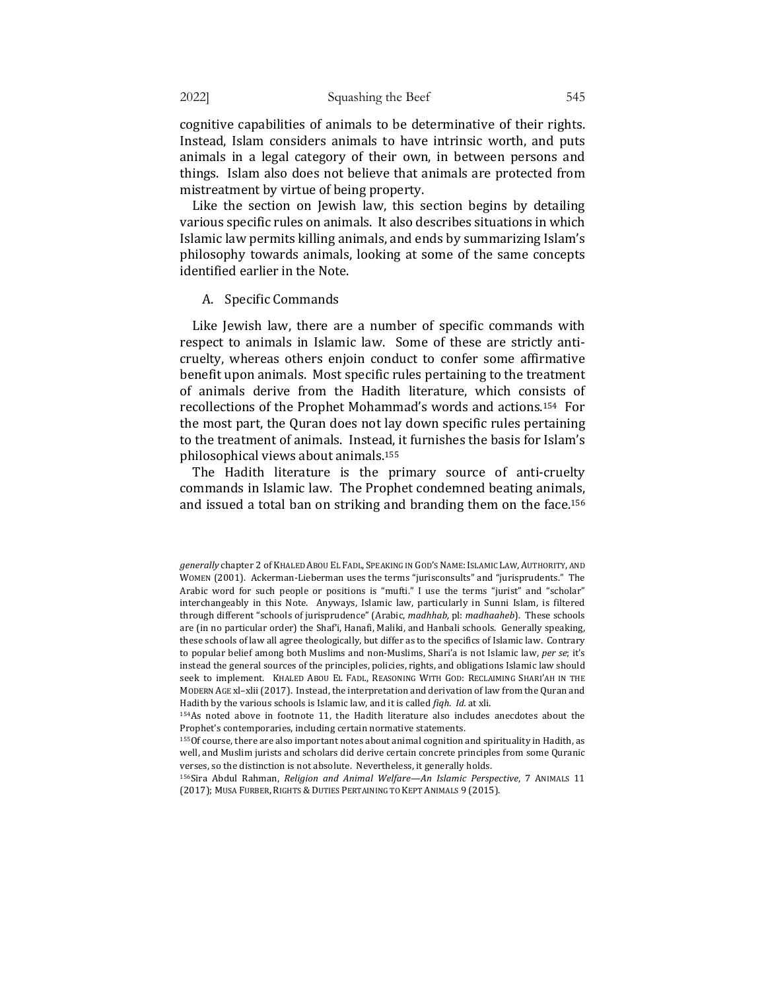cognitive capabilities of animals to be determinative of their rights. Instead, Islam considers animals to have intrinsic worth, and puts animals in a legal category of their own, in between persons and things. Islam also does not believe that animals are protected from mistreatment by virtue of being property.

Like the section on Jewish law, this section begins by detailing various specific rules on animals. It also describes situations in which Islamic law permits killing animals, and ends by summarizing Islam's philosophy towards animals, looking at some of the same concepts identified earlier in the Note.

#### A. Specific Commands

Like Jewish law, there are a number of specific commands with respect to animals in Islamic law. Some of these are strictly anticruelty, whereas others enjoin conduct to confer some affirmative benefit upon animals. Most specific rules pertaining to the treatment of animals derive from the Hadith literature, which consists of recollections of the Prophet Mohammad's words and actions.<sup>154</sup> For the most part, the Quran does not lay down specific rules pertaining to the treatment of animals. Instead, it furnishes the basis for Islam's philosophical views about animals.<sup>155</sup>

The Hadith literature is the primary source of anti-cruelty commands in Islamic law. The Prophet condemned beating animals, and issued a total ban on striking and branding them on the face.<sup>156</sup>

*generally* chapter 2 of KHALED ABOU EL FADL, SPEAKING IN GOD'S NAME: ISLAMIC LAW, AUTHORITY, AND WOMEN (2001). Ackerman-Lieberman uses the terms "jurisconsults" and "jurisprudents." The Arabic word for such people or positions is "mufti." I use the terms "jurist" and "scholar" interchangeably in this Note. Anyways, Islamic law, particularly in Sunni Islam, is filtered through different "schools of jurisprudence" (Arabic, *madhhab*, pl: *madhaaheb*). These schools are (in no particular order) the Shaf'i, Hanafi, Maliki, and Hanbali schools. Generally speaking, these schools of law all agree theologically, but differ as to the specifics of Islamic law. Contrary to popular belief among both Muslims and non-Muslims, Shari'a is not Islamic law, per se; it's instead the general sources of the principles, policies, rights, and obligations Islamic law should seek to implement. KHALED ABOU EL FADL, REASONING WITH GOD: RECLAIMING SHARI'AH IN THE MODERN AGE xl-xlii (2017). Instead, the interpretation and derivation of law from the Quran and Hadith by the various schools is Islamic law, and it is called *fiqh. Id.* at xli.

<sup>154</sup>As noted above in footnote 11, the Hadith literature also includes anecdotes about the Prophet's contemporaries, including certain normative statements.

<sup>155</sup>Of course, there are also important notes about animal cognition and spirituality in Hadith, as well, and Muslim jurists and scholars did derive certain concrete principles from some Quranic verses, so the distinction is not absolute. Nevertheless, it generally holds.

<sup>156</sup>Sira Abdul Rahman, Religion and Animal Welfare—An Islamic Perspective, 7 ANIMALS 11 (2017); MUSA FURBER, RIGHTS & DUTIES PERTAINING TO KEPT ANIMALS 9 (2015).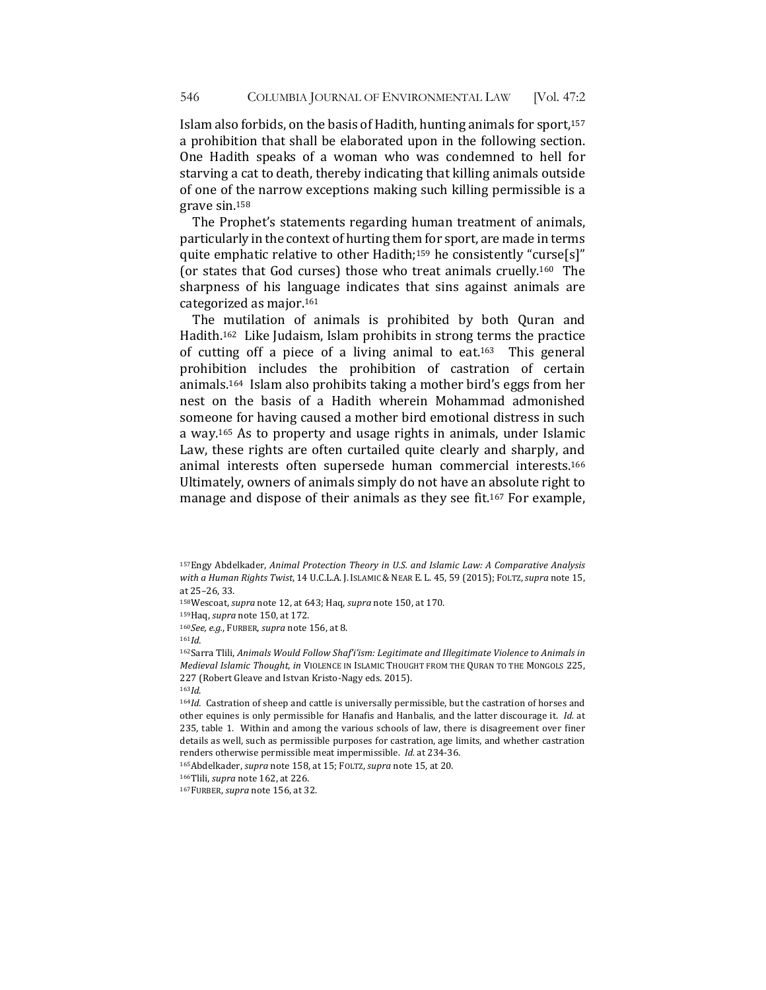Islam also forbids, on the basis of Hadith, hunting animals for sport,<sup>157</sup> a prohibition that shall be elaborated upon in the following section. One Hadith speaks of a woman who was condemned to hell for starving a cat to death, thereby indicating that killing animals outside of one of the narrow exceptions making such killing permissible is a grave sin.158

The Prophet's statements regarding human treatment of animals, particularly in the context of hurting them for sport, are made in terms quite emphatic relative to other Hadith;<sup>159</sup> he consistently "curse[s]" (or states that God curses) those who treat animals cruelly.<sup>160</sup> The sharpness of his language indicates that sins against animals are categorized as major.<sup>161</sup>

The mutilation of animals is prohibited by both Quran and Hadith.<sup>162</sup> Like Judaism, Islam prohibits in strong terms the practice of cutting off a piece of a living animal to eat.<sup>163</sup> This general prohibition includes the prohibition of castration of certain animals.<sup>164</sup> Islam also prohibits taking a mother bird's eggs from her nest on the basis of a Hadith wherein Mohammad admonished someone for having caused a mother bird emotional distress in such a way.<sup>165</sup> As to property and usage rights in animals, under Islamic Law, these rights are often curtailed quite clearly and sharply, and animal interests often supersede human commercial interests.<sup>166</sup> Ultimately, owners of animals simply do not have an absolute right to manage and dispose of their animals as they see fit.<sup>167</sup> For example,

158Wescoat, *supra* note 12, at 643; Haq, *supra* note 150, at 170.

159Haq, *supra* note 150, at 172.

160See, e.g., FURBER, *supra* note 156, at 8.

<sup>161</sup>*Id.*

<sup>163</sup>*Id*.

166Tlili, *supra* note 162, at 226.

167FURBER, *supra* note 156, at 32.

<sup>157</sup>Engy Abdelkader, Animal Protection Theory in U.S. and Islamic Law: A Comparative Analysis with a Human Rights Twist, 14 U.C.L.A. J. ISLAMIC & NEAR E. L. 45, 59 (2015); FOLTZ, supra note 15, at 25-26, 33.

<sup>&</sup>lt;sup>162</sup>Sarra Tlili, Animals Would Follow Shaf'i'sm: Legitimate and Illegitimate Violence to Animals in *Medieval Islamic Thought, in VIOLENCE IN ISLAMIC THOUGHT FROM THE QURAN TO THE MONGOLS 225,* 227 (Robert Gleave and Istvan Kristo-Nagy eds. 2015).

<sup>164</sup>*Id.* Castration of sheep and cattle is universally permissible, but the castration of horses and other equines is only permissible for Hanafis and Hanbalis, and the latter discourage it. *Id.* at 235, table 1. Within and among the various schools of law, there is disagreement over finer details as well, such as permissible purposes for castration, age limits, and whether castration renders otherwise permissible meat impermissible. *Id.* at 234-36.

<sup>165</sup>Abdelkader, *supra* note 158, at 15; FOLTZ, *supra* note 15, at 20.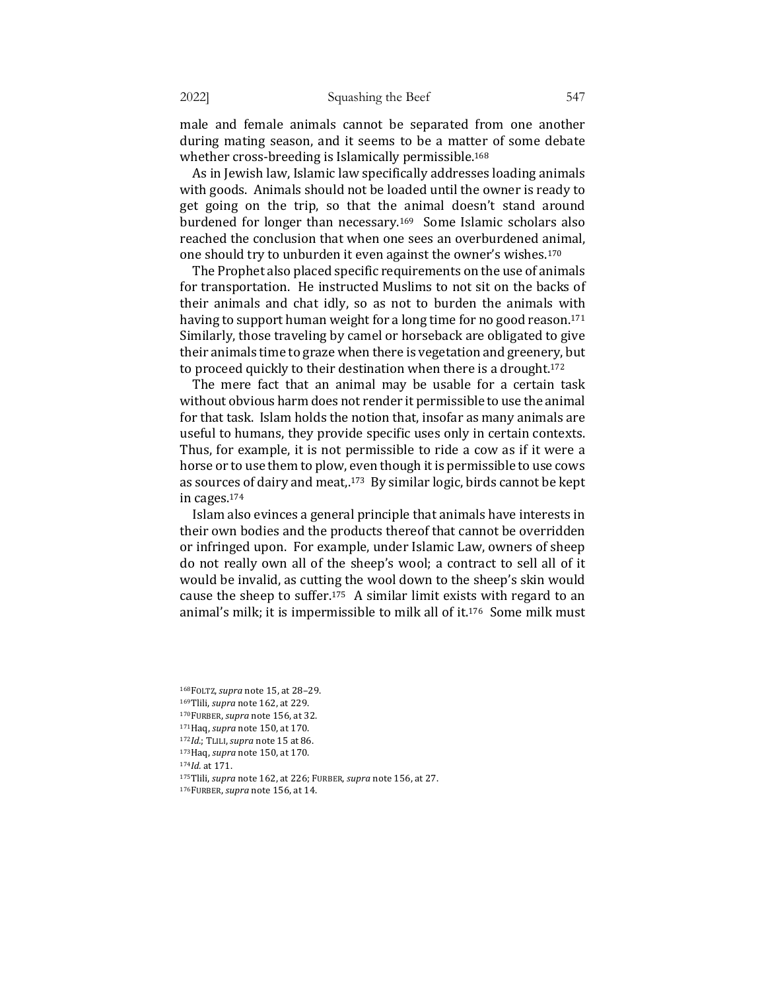male and female animals cannot be separated from one another during mating season, and it seems to be a matter of some debate whether cross-breeding is Islamically permissible.<sup>168</sup>

As in Jewish law, Islamic law specifically addresses loading animals with goods. Animals should not be loaded until the owner is ready to get going on the trip, so that the animal doesn't stand around burdened for longer than necessary.<sup>169</sup> Some Islamic scholars also reached the conclusion that when one sees an overburdened animal, one should try to unburden it even against the owner's wishes.<sup>170</sup>

The Prophet also placed specific requirements on the use of animals for transportation. He instructed Muslims to not sit on the backs of their animals and chat idly, so as not to burden the animals with having to support human weight for a long time for no good reason.<sup>171</sup> Similarly, those traveling by camel or horseback are obligated to give their animals time to graze when there is vegetation and greenery, but to proceed quickly to their destination when there is a drought.<sup>172</sup>

The mere fact that an animal may be usable for a certain task without obvious harm does not render it permissible to use the animal for that task. Islam holds the notion that, insofar as many animals are useful to humans, they provide specific uses only in certain contexts. Thus, for example, it is not permissible to ride a cow as if it were a horse or to use them to plow, even though it is permissible to use cows as sources of dairy and meat,.<sup>173</sup> By similar logic, birds cannot be kept in cages.<sup>174</sup>

Islam also evinces a general principle that animals have interests in their own bodies and the products thereof that cannot be overridden or infringed upon. For example, under Islamic Law, owners of sheep do not really own all of the sheep's wool; a contract to sell all of it would be invalid, as cutting the wool down to the sheep's skin would cause the sheep to suffer.<sup>175</sup> A similar limit exists with regard to an animal's milk; it is impermissible to milk all of it. $176$  Some milk must

<sup>168</sup>FOLTZ,*supra* note 15, at 28–29. 169Tlili, *supra* note 162, at 229. 170FURBER, *supra* note 156, at 32.

<sup>171</sup>Haq, *supra* note 150, at 170.

<sup>172</sup>*Id.*; TLILI, supra note 15 at 86.

<sup>173</sup>Haq, *supra* note 150, at 170.

<sup>174</sup>*Id.* at 171.

<sup>175</sup>Tlili, *supra* note 162, at 226; FURBER, *supra* note 156, at 27.

<sup>176</sup>FURBER, *supra* note 156, at 14.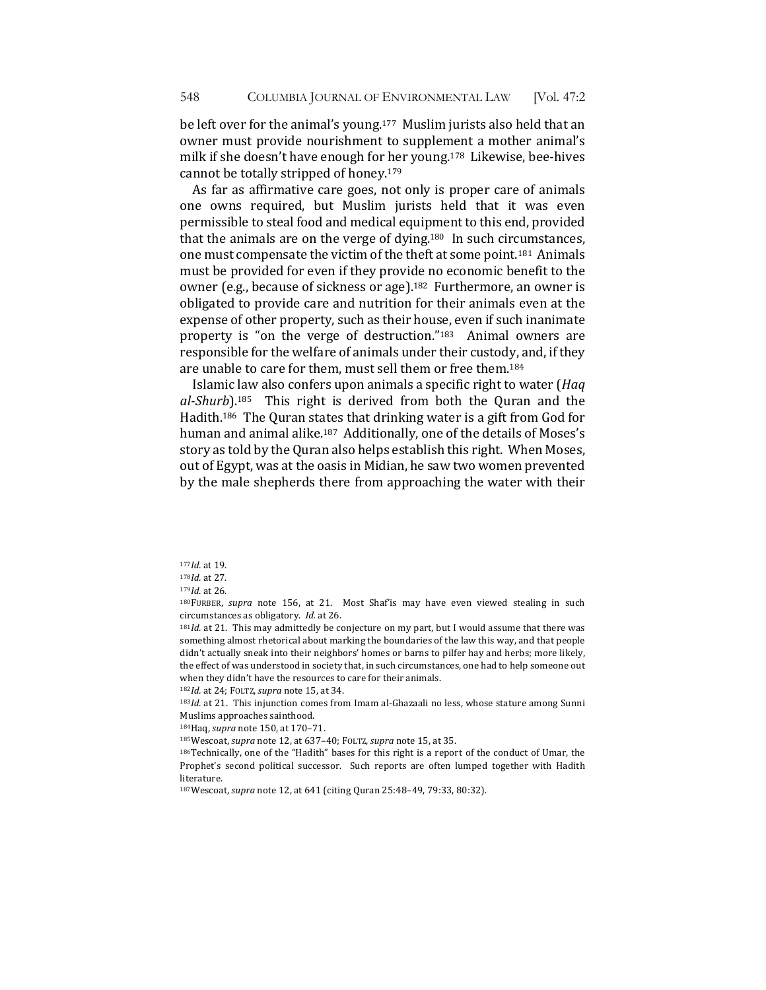be left over for the animal's young.<sup>177</sup> Muslim jurists also held that an owner must provide nourishment to supplement a mother animal's milk if she doesn't have enough for her young.<sup>178</sup> Likewise, bee-hives cannot be totally stripped of honey.<sup>179</sup>

As far as affirmative care goes, not only is proper care of animals one owns required, but Muslim jurists held that it was even permissible to steal food and medical equipment to this end, provided that the animals are on the verge of dying.<sup>180</sup> In such circumstances, one must compensate the victim of the theft at some point.<sup>181</sup> Animals must be provided for even if they provide no economic benefit to the owner (e.g., because of sickness or age).<sup>182</sup> Furthermore, an owner is obligated to provide care and nutrition for their animals even at the expense of other property, such as their house, even if such inanimate property is "on the verge of destruction." $183$  Animal owners are responsible for the welfare of animals under their custody, and, if they are unable to care for them, must sell them or free them.<sup>184</sup>

Islamic law also confers upon animals a specific right to water (*Haq* al-Shurb).<sup>185</sup> This right is derived from both the Quran and the Hadith.<sup>186</sup> The Quran states that drinking water is a gift from God for human and animal alike.<sup>187</sup> Additionally, one of the details of Moses's story as told by the Quran also helps establish this right. When Moses, out of Egypt, was at the oasis in Midian, he saw two women prevented by the male shepherds there from approaching the water with their

<sup>180</sup>FURBER, *supra* note 156, at 21. Most Shaf'is may have even viewed stealing in such circumstances as obligatory. *Id.* at 26.

<sup>181</sup>Id. at 21. This may admittedly be conjecture on my part, but I would assume that there was something almost rhetorical about marking the boundaries of the law this way, and that people didn't actually sneak into their neighbors' homes or barns to pilfer hay and herbs; more likely, the effect of was understood in society that, in such circumstances, one had to help someone out when they didn't have the resources to care for their animals.

182*Id.* at 24; FOLTZ, supra note 15, at 34.

183*Id.* at 21. This injunction comes from Imam al-Ghazaali no less, whose stature among Sunni Muslims approaches sainthood.

184Haq, *supra* note 150, at 170-71.

185Wescoat, *supra* note 12, at 637-40; FOLTZ, *supra* note 15, at 35.

186Technically, one of the "Hadith" bases for this right is a report of the conduct of Umar, the Prophet's second political successor. Such reports are often lumped together with Hadith literature. 

187Wescoat, *supra* note 12, at 641 (citing Quran 25:48-49, 79:33, 80:32).

<sup>177</sup>*Id.* at 19.

<sup>178</sup>*Id.* at 27.

<sup>179</sup>*Id.* at 26.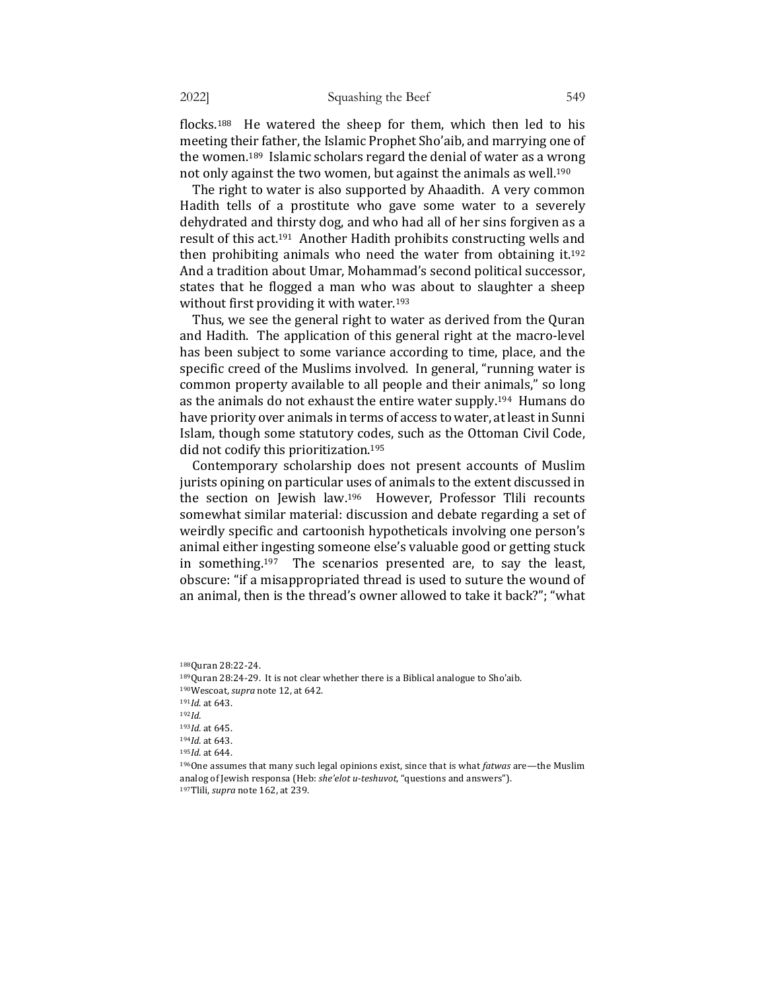flocks.<sup>188</sup> He watered the sheep for them, which then led to his meeting their father, the Islamic Prophet Sho'aib, and marrying one of the women.<sup>189</sup> Islamic scholars regard the denial of water as a wrong not only against the two women, but against the animals as well.<sup>190</sup>

The right to water is also supported by Ahaadith. A very common Hadith tells of a prostitute who gave some water to a severely dehydrated and thirsty dog, and who had all of her sins forgiven as a result of this act.<sup>191</sup> Another Hadith prohibits constructing wells and then prohibiting animals who need the water from obtaining it.<sup>192</sup> And a tradition about Umar, Mohammad's second political successor, states that he flogged a man who was about to slaughter a sheep without first providing it with water.<sup>193</sup>

Thus, we see the general right to water as derived from the Quran and Hadith. The application of this general right at the macro-level has been subject to some variance according to time, place, and the specific creed of the Muslims involved. In general, "running water is common property available to all people and their animals," so long as the animals do not exhaust the entire water supply.<sup>194</sup> Humans do have priority over animals in terms of access to water, at least in Sunni Islam, though some statutory codes, such as the Ottoman Civil Code, did not codify this prioritization.<sup>195</sup>

Contemporary scholarship does not present accounts of Muslim jurists opining on particular uses of animals to the extent discussed in the section on Jewish law.<sup>196</sup> However, Professor Tlili recounts somewhat similar material: discussion and debate regarding a set of weirdly specific and cartoonish hypotheticals involving one person's animal either ingesting someone else's valuable good or getting stuck in something.<sup>197</sup> The scenarios presented are, to say the least, obscure: "if a misappropriated thread is used to suture the wound of an animal, then is the thread's owner allowed to take it back?"; "what

<sup>188</sup>Quran 28:22-24.  $189$ Quran 28:24-29. It is not clear whether there is a Biblical analogue to Sho'aib. 190Wescoat, *supra* note 12, at 642. 191*Id*. at 643. <sup>192</sup>*Id.* 193*Id.* at 645. 194*Id.* at 643. 195*Id.* at 644.  $196$ One assumes that many such legal opinions exist, since that is what *fatwas* are—the Muslim analog of Jewish responsa (Heb: *she'elot u-teshuvot*, "questions and answers"). 197Tlili, *supra* note 162, at 239.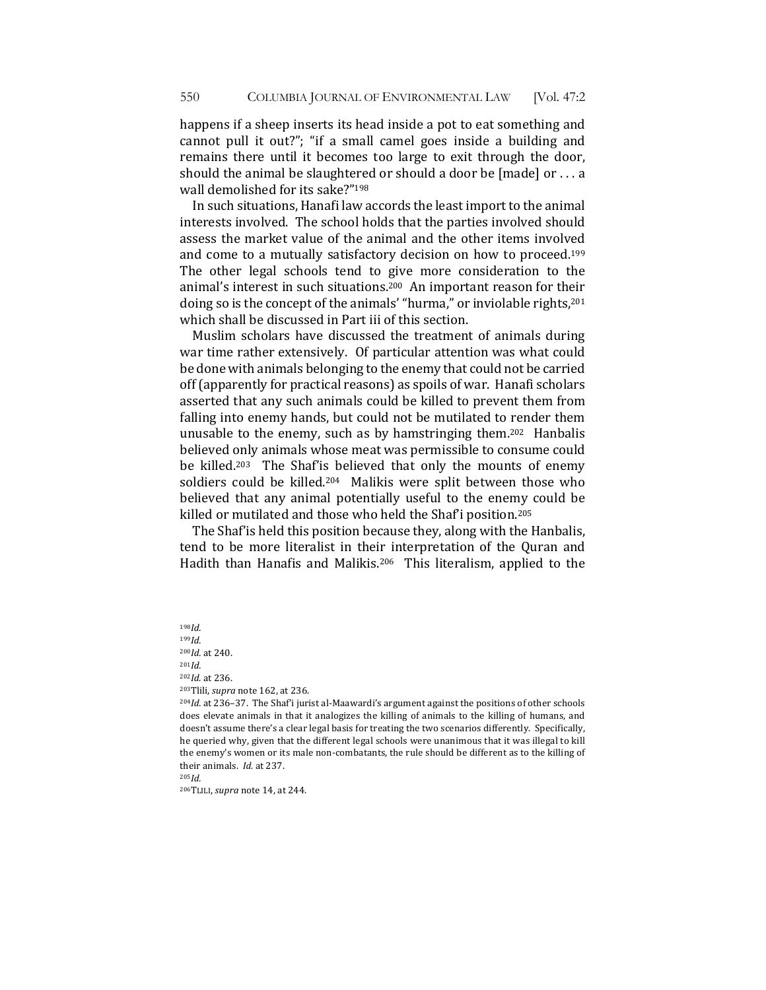happens if a sheep inserts its head inside a pot to eat something and cannot pull it out?"; "if a small camel goes inside a building and remains there until it becomes too large to exit through the door, should the animal be slaughtered or should a door be  $[made]$  or . . . a wall demolished for its sake?"198

In such situations, Hanafi law accords the least import to the animal interests involved. The school holds that the parties involved should assess the market value of the animal and the other items involved and come to a mutually satisfactory decision on how to proceed.<sup>199</sup> The other legal schools tend to give more consideration to the animal's interest in such situations.<sup>200</sup> An important reason for their doing so is the concept of the animals' "hurma," or inviolable rights,<sup>201</sup> which shall be discussed in Part iii of this section.

Muslim scholars have discussed the treatment of animals during war time rather extensively. Of particular attention was what could be done with animals belonging to the enemy that could not be carried off (apparently for practical reasons) as spoils of war. Hanafi scholars asserted that any such animals could be killed to prevent them from falling into enemy hands, but could not be mutilated to render them unusable to the enemy, such as by hamstringing them.<sup>202</sup> Hanbalis believed only animals whose meat was permissible to consume could be killed.<sup>203</sup> The Shaf'is believed that only the mounts of enemy soldiers could be killed.<sup>204</sup> Malikis were split between those who believed that any animal potentially useful to the enemy could be killed or mutilated and those who held the Shaf'i position.<sup>205</sup>

The Shaf' is held this position because they, along with the Hanbalis, tend to be more literalist in their interpretation of the Quran and Hadith than Hanafis and Malikis.<sup>206</sup> This literalism, applied to the

198*Id.* <sup>199</sup>*Id.* 200*Id.* at 240. <sup>201</sup>*Id.* 202*Id*. at 236. 203Tlili, *supra* note 162, at 236. <sup>204</sup>*Id.* at 236–37. The Shaf'i jurist al-Maawardi's argument against the positions of other schools does elevate animals in that it analogizes the killing of animals to the killing of humans, and doesn't assume there's a clear legal basis for treating the two scenarios differently. Specifically, he queried why, given that the different legal schools were unanimous that it was illegal to kill the enemy's women or its male non-combatants, the rule should be different as to the killing of

<sup>205</sup>*Id.*

<sup>206</sup>TLILI, *supra* note 14, at 244.

their animals. *Id.* at 237.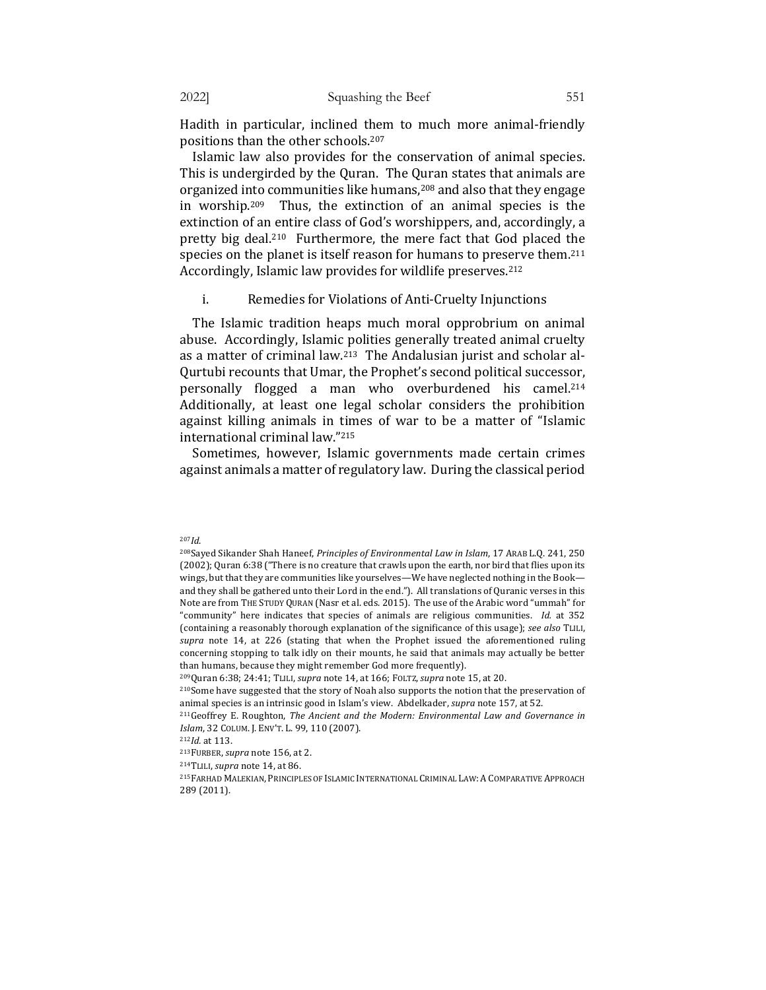Hadith in particular, inclined them to much more animal-friendly positions than the other schools.<sup>207</sup>

Islamic law also provides for the conservation of animal species. This is undergirded by the Quran. The Quran states that animals are organized into communities like humans,<sup>208</sup> and also that they engage in worship.<sup>209</sup> Thus, the extinction of an animal species is the extinction of an entire class of God's worshippers, and, accordingly, a pretty big deal.<sup>210</sup> Furthermore, the mere fact that God placed the species on the planet is itself reason for humans to preserve them.<sup>211</sup> Accordingly, Islamic law provides for wildlife preserves.<sup>212</sup>

### i. Remedies for Violations of Anti-Cruelty Injunctions

The Islamic tradition heaps much moral opprobrium on animal abuse. Accordingly, Islamic polities generally treated animal cruelty as a matter of criminal law.<sup>213</sup> The Andalusian jurist and scholar al-Qurtubi recounts that Umar, the Prophet's second political successor, personally flogged a man who overburdened his camel.<sup>214</sup> Additionally, at least one legal scholar considers the prohibition against killing animals in times of war to be a matter of "Islamic international criminal law."215

Sometimes, however, Islamic governments made certain crimes against animals a matter of regulatory law. During the classical period

<sup>207</sup>*Id*.

<sup>&</sup>lt;sup>208</sup>Sayed Sikander Shah Haneef, *Principles of Environmental Law in Islam*, 17 ARAB L.Q. 241, 250 (2002); Quran 6:38 ("There is no creature that crawls upon the earth, nor bird that flies upon its wings, but that they are communities like yourselves—We have neglected nothing in the Book and they shall be gathered unto their Lord in the end."). All translations of Quranic verses in this Note are from THE STUDY QURAN (Nasr et al. eds. 2015). The use of the Arabic word "ummah" for "community" here indicates that species of animals are religious communities. *Id.* at 352 (containing a reasonably thorough explanation of the significance of this usage); see also TLILI, supra note 14, at 226 (stating that when the Prophet issued the aforementioned ruling concerning stopping to talk idly on their mounts, he said that animals may actually be better than humans, because they might remember God more frequently).

<sup>&</sup>lt;sup>209</sup>Quran 6:38; 24:41; TLILI, *supra* note 14, at 166; FOLTZ, *supra* note 15, at 20.

<sup>&</sup>lt;sup>210</sup>Some have suggested that the story of Noah also supports the notion that the preservation of animal species is an intrinsic good in Islam's view. Abdelkader, *supra* note 157, at 52.

<sup>&</sup>lt;sup>211</sup>Geoffrey E. Roughton, *The Ancient and the Modern: Environmental Law and Governance in Islam*, 32 COLUM. J. ENV'T. L. 99, 110 (2007).

<sup>212</sup>*Id.* at 113.

<sup>&</sup>lt;sup>213</sup>FURBER, *supra* note 156, at 2.

<sup>&</sup>lt;sup>214</sup>TLILI, *supra* note 14, at 86.

<sup>215</sup>FARHAD MALEKIAN, PRINCIPLES OF ISLAMIC INTERNATIONAL CRIMINAL LAW: A COMPARATIVE APPROACH 289 (2011).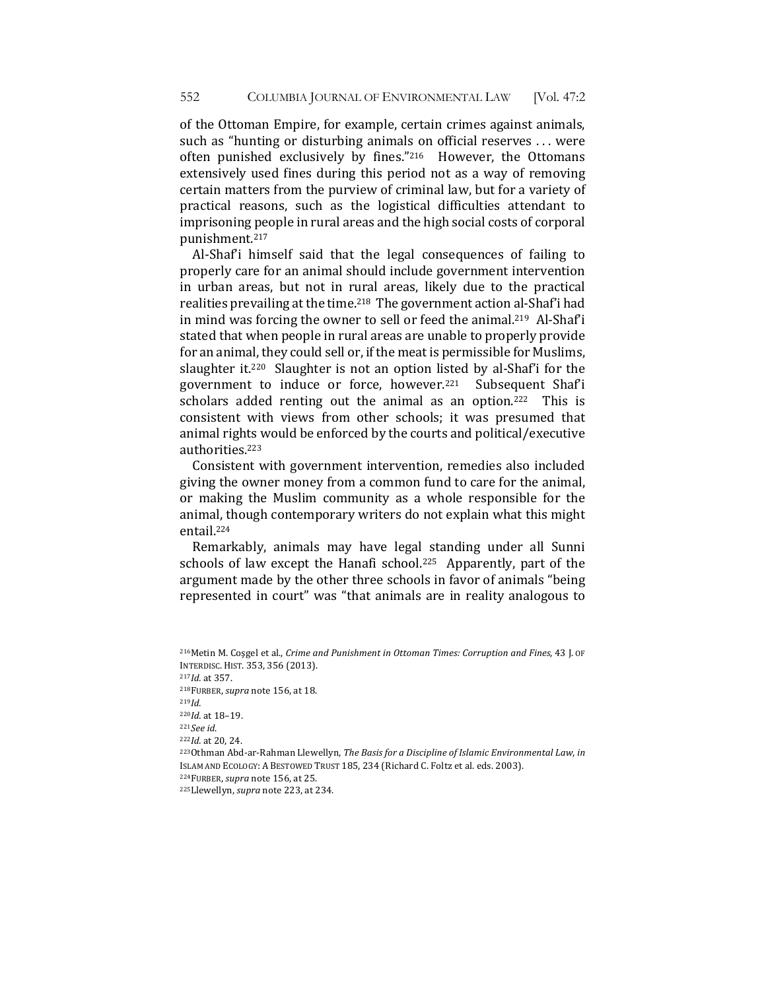of the Ottoman Empire, for example, certain crimes against animals, such as "hunting or disturbing animals on official reserves ... were often punished exclusively by fines."216 However, the Ottomans extensively used fines during this period not as a way of removing certain matters from the purview of criminal law, but for a variety of practical reasons, such as the logistical difficulties attendant to imprisoning people in rural areas and the high social costs of corporal punishment.217

Al-Shaf'i himself said that the legal consequences of failing to properly care for an animal should include government intervention in urban areas, but not in rural areas, likely due to the practical realities prevailing at the time.<sup>218</sup> The government action al-Shaf'i had in mind was forcing the owner to sell or feed the animal.<sup>219</sup> Al-Shaf'i stated that when people in rural areas are unable to properly provide for an animal, they could sell or, if the meat is permissible for Muslims, slaughter it.<sup>220</sup> Slaughter is not an option listed by al-Shaf'i for the government to induce or force, however.<sup>221</sup> Subsequent Shaf'i scholars added renting out the animal as an option.<sup>222</sup> This is consistent with views from other schools; it was presumed that animal rights would be enforced by the courts and political/executive authorities.223 

Consistent with government intervention, remedies also included giving the owner money from a common fund to care for the animal, or making the Muslim community as a whole responsible for the animal, though contemporary writers do not explain what this might entail.224 

Remarkably, animals may have legal standing under all Sunni schools of law except the Hanafi school.<sup>225</sup> Apparently, part of the argument made by the other three schools in favor of animals "being" represented in court" was "that animals are in reality analogous to

<sup>&</sup>lt;sup>216</sup>Metin M. Cosgel et al., *Crime and Punishment in Ottoman Times: Corruption and Fines*, 43 J. OF INTERDISC. HIST. 353, 356 (2013). <sup>217</sup>*Id.* at 357. 218FURBER, *supra* note 156, at 18. <sup>219</sup>*Id.* <sup>220</sup>*Id.* at 18–19. <sup>221</sup>*See id*. 222*Id.* at 20, 24. <sup>223</sup>Othman Abd-ar-Rahman Llewellyn, *The Basis for a Discipline of Islamic Environmental Law*, *in* ISLAM AND ECOLOGY: A BESTOWED TRUST 185, 234 (Richard C. Foltz et al. eds. 2003). <sup>224</sup>FURBER, *supra* note 156, at 25. <sup>225</sup>Llewellyn, *supra* note 223, at 234.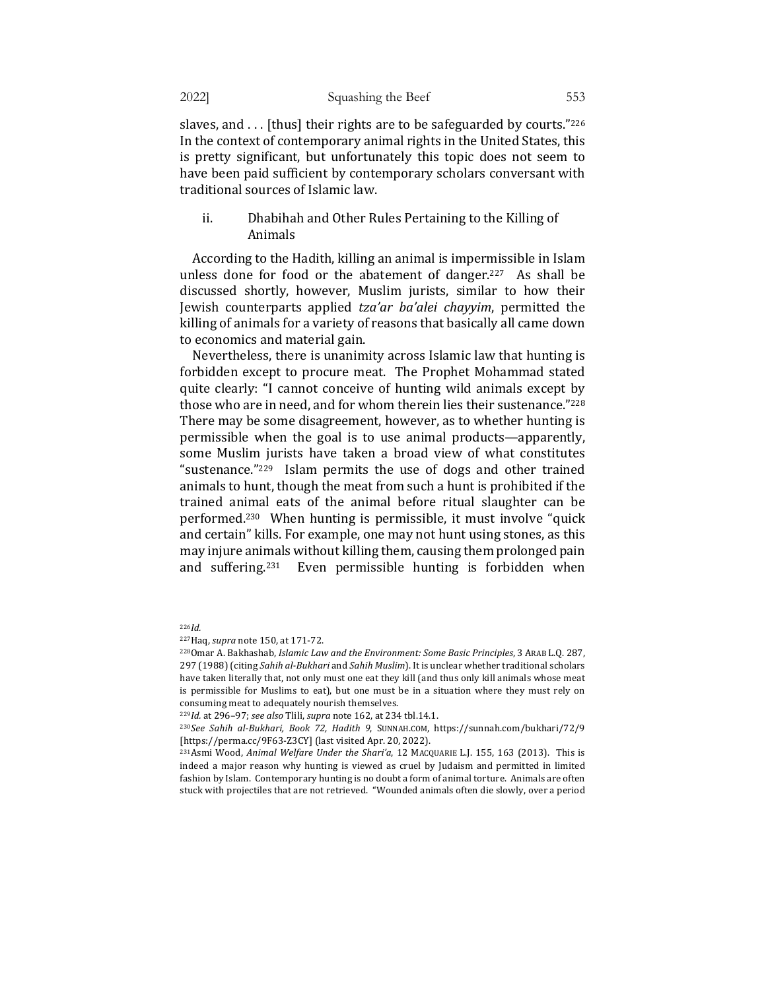slaves, and  $\dots$  [thus] their rights are to be safeguarded by courts."<sup>226</sup> In the context of contemporary animal rights in the United States, this is pretty significant, but unfortunately this topic does not seem to have been paid sufficient by contemporary scholars conversant with traditional sources of Islamic law.

# ii. Dhabihah and Other Rules Pertaining to the Killing of Animals

According to the Hadith, killing an animal is impermissible in Islam unless done for food or the abatement of danger.<sup>227</sup> As shall be discussed shortly, however, Muslim jurists, similar to how their Jewish counterparts applied *tza'ar ba'alei chayyim*, permitted the killing of animals for a variety of reasons that basically all came down to economics and material gain.

Nevertheless, there is unanimity across Islamic law that hunting is forbidden except to procure meat. The Prophet Mohammad stated quite clearly: "I cannot conceive of hunting wild animals except by those who are in need, and for whom therein lies their sustenance."228 There may be some disagreement, however, as to whether hunting is permissible when the goal is to use animal products—apparently, some Muslim jurists have taken a broad view of what constitutes "sustenance." $229$  Islam permits the use of dogs and other trained animals to hunt, though the meat from such a hunt is prohibited if the trained animal eats of the animal before ritual slaughter can be performed.<sup>230</sup> When hunting is permissible, it must involve "quick" and certain" kills. For example, one may not hunt using stones, as this may injure animals without killing them, causing them prolonged pain and suffering.<sup>231</sup> Even permissible hunting is forbidden when

<sup>226</sup>*Id.*

<sup>227</sup>Haq, *supra* note 150, at 171-72.

<sup>&</sup>lt;sup>228</sup>Omar A. Bakhashab, *Islamic Law and the Environment: Some Basic Principles*, 3 ARAB L.Q. 287, 297 (1988) (citing *Sahih al-Bukhari* and *Sahih Muslim*). It is unclear whether traditional scholars have taken literally that, not only must one eat they kill (and thus only kill animals whose meat is permissible for Muslims to eat), but one must be in a situation where they must rely on consuming meat to adequately nourish themselves.

<sup>229</sup>*Id.* at 296-97; see also Tlili, supra note 162, at 234 tbl.14.1.

<sup>&</sup>lt;sup>230</sup>See Sahih al-Bukhari, Book 72, Hadith 9, SUNNAH.COM, https://sunnah.com/bukhari/72/9 [https://perma.cc/9F63-Z3CY] (last visited Apr. 20, 2022).

<sup>&</sup>lt;sup>231</sup>Asmi Wood, *Animal Welfare Under the Shari'a*, 12 MACQUARIE L.J. 155, 163 (2013). This is indeed a major reason why hunting is viewed as cruel by Judaism and permitted in limited fashion by Islam. Contemporary hunting is no doubt a form of animal torture. Animals are often stuck with projectiles that are not retrieved. "Wounded animals often die slowly, over a period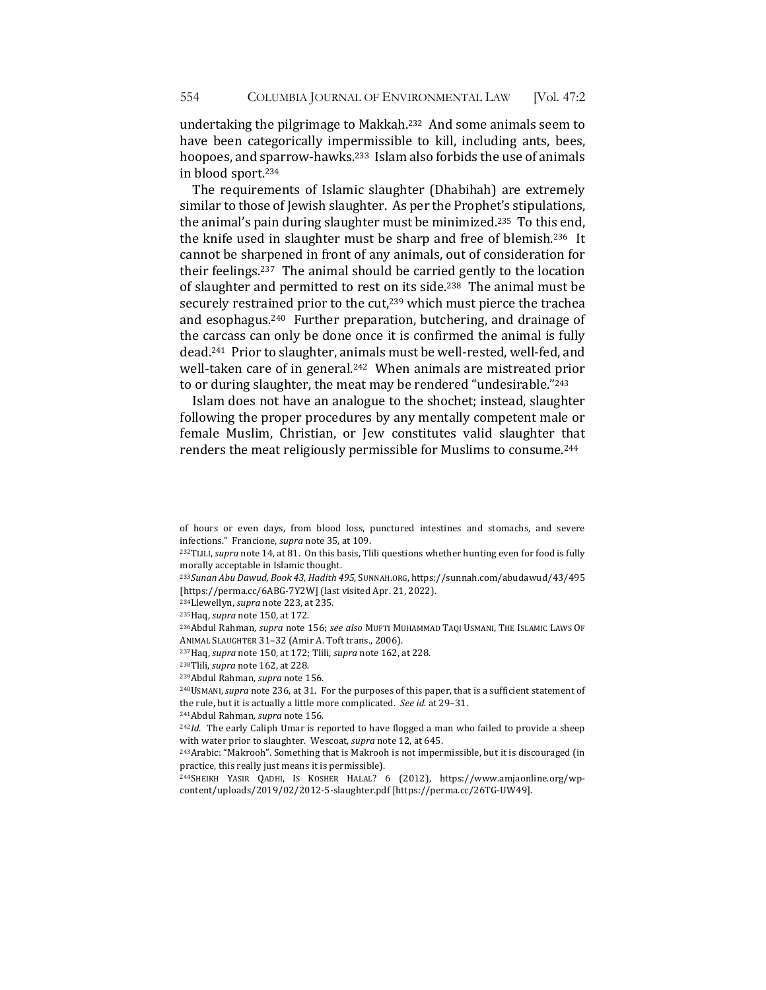undertaking the pilgrimage to Makkah.<sup>232</sup> And some animals seem to have been categorically impermissible to kill, including ants, bees, hoopoes, and sparrow-hawks.<sup>233</sup> Islam also forbids the use of animals in blood sport.<sup>234</sup>

The requirements of Islamic slaughter (Dhabihah) are extremely similar to those of Jewish slaughter. As per the Prophet's stipulations, the animal's pain during slaughter must be minimized.<sup>235</sup> To this end, the knife used in slaughter must be sharp and free of blemish.<sup>236</sup> It cannot be sharpened in front of any animals, out of consideration for their feelings.<sup>237</sup> The animal should be carried gently to the location of slaughter and permitted to rest on its side.<sup>238</sup> The animal must be securely restrained prior to the cut, $239$  which must pierce the trachea and esophagus.<sup>240</sup> Further preparation, butchering, and drainage of the carcass can only be done once it is confirmed the animal is fully dead.<sup>241</sup> Prior to slaughter, animals must be well-rested, well-fed, and well-taken care of in general.<sup>242</sup> When animals are mistreated prior to or during slaughter, the meat may be rendered "undesirable."243

Islam does not have an analogue to the shochet; instead, slaughter following the proper procedures by any mentally competent male or female Muslim, Christian, or Jew constitutes valid slaughter that renders the meat religiously permissible for Muslims to consume.<sup>244</sup>

<sup>234</sup>Llewellyn, *supra* note 223, at 235.

<sup>237</sup>Haq, *supra* note 150, at 172; Tlili, *supra* note 162, at 228.

<sup>241</sup>Abdul Rahman, supra note 156.

 $242$ *Id*. The early Caliph Umar is reported to have flogged a man who failed to provide a sheep with water prior to slaughter. Wescoat, *supra* note 12, at 645.

<sup>243</sup>Arabic: "Makrooh". Something that is Makrooh is not impermissible, but it is discouraged (in practice, this really just means it is permissible).

<sup>244</sup>SHEIKH YASIR QADHI, IS KOSHER HALAL? 6 (2012), https://www.amjaonline.org/wpcontent/uploads/2019/02/2012-5-slaughter.pdf [https://perma.cc/26TG-UW49].

of hours or even days, from blood loss, punctured intestines and stomachs, and severe infections." Francione, *supra* note 35, at 109.

<sup>&</sup>lt;sup>232</sup>TLILI, *supra* note 14, at 81. On this basis, Tlili questions whether hunting even for food is fully morally acceptable in Islamic thought.

<sup>&</sup>lt;sup>233</sup>Sunan Abu Dawud, Book 43, Hadith 495, SUNNAH.ORG, https://sunnah.com/abudawud/43/495 [https://perma.cc/6ABG-7Y2W] (last visited Apr. 21, 2022).

<sup>&</sup>lt;sup>235</sup>Haq, *supra* note 150, at 172.

<sup>236</sup>Abdul Rahman, supra note 156; see also MUFTI MUHAMMAD TAQI USMANI, THE ISLAMIC LAWS OF ANIMAL SLAUGHTER 31-32 (Amir A. Toft trans., 2006).

<sup>&</sup>lt;sup>238</sup>Tlili, *supra* note 162, at 228.

<sup>&</sup>lt;sup>239</sup>Abdul Rahman, supra note 156.

<sup>&</sup>lt;sup>240</sup>USMANI, *supra* note 236, at 31. For the purposes of this paper, that is a sufficient statement of the rule, but it is actually a little more complicated. See id. at 29-31.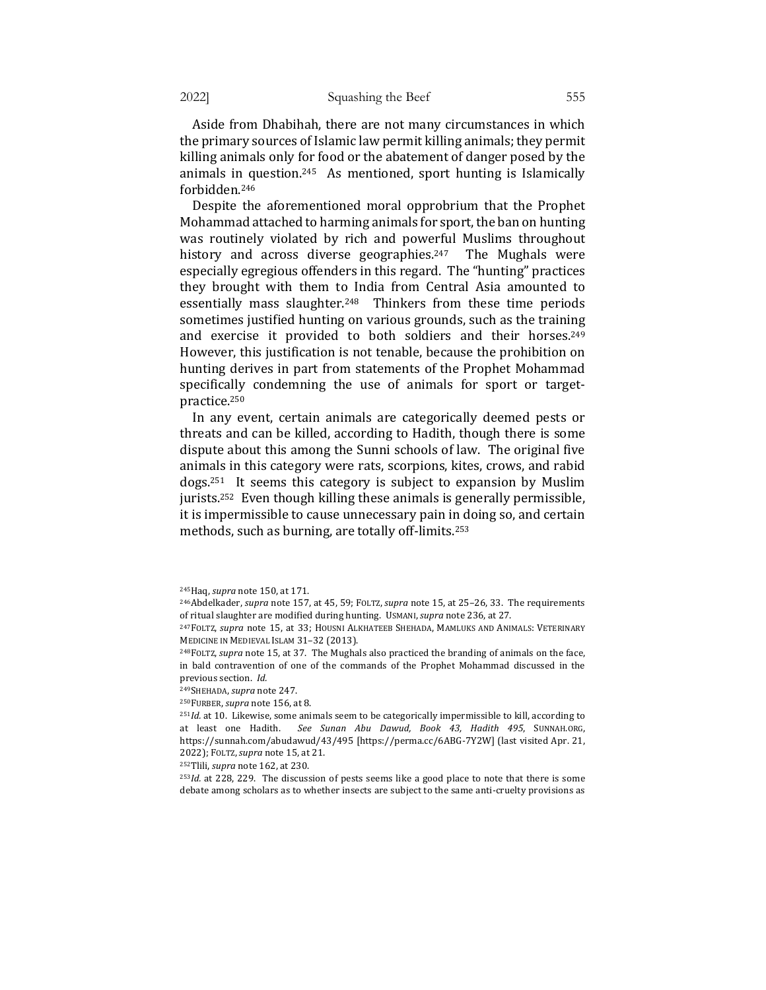Aside from Dhabihah, there are not many circumstances in which the primary sources of Islamic law permit killing animals; they permit killing animals only for food or the abatement of danger posed by the animals in question.<sup>245</sup> As mentioned, sport hunting is Islamically forbidden.246 

Despite the aforementioned moral opprobrium that the Prophet Mohammad attached to harming animals for sport, the ban on hunting was routinely violated by rich and powerful Muslims throughout history and across diverse geographies.<sup>247</sup> The Mughals were especially egregious offenders in this regard. The "hunting" practices they brought with them to India from Central Asia amounted to essentially mass slaughter.<sup>248</sup> Thinkers from these time periods sometimes justified hunting on various grounds, such as the training and exercise it provided to both soldiers and their horses.<sup>249</sup> However, this justification is not tenable, because the prohibition on hunting derives in part from statements of the Prophet Mohammad specifically condemning the use of animals for sport or targetpractice.250

In any event, certain animals are categorically deemed pests or threats and can be killed, according to Hadith, though there is some dispute about this among the Sunni schools of law. The original five animals in this category were rats, scorpions, kites, crows, and rabid dogs.<sup>251</sup> It seems this category is subject to expansion by Muslim jurists.<sup>252</sup> Even though killing these animals is generally permissible, it is impermissible to cause unnecessary pain in doing so, and certain methods, such as burning, are totally off-limits.<sup>253</sup>

<sup>252</sup>Tlili, *supra* note 162, at 230.

<sup>253</sup>*Id.* at 228, 229. The discussion of pests seems like a good place to note that there is some debate among scholars as to whether insects are subject to the same anti-cruelty provisions as

<sup>245</sup>Haq, *supra* note 150, at 171.

<sup>&</sup>lt;sup>246</sup>Abdelkader, *supra* note 157, at 45, 59; FOLTZ, *supra* note 15, at 25-26, 33. The requirements of ritual slaughter are modified during hunting. USMANI, supra note 236, at 27.

<sup>&</sup>lt;sup>247</sup>FOLTZ, *supra* note 15, at 33; HOUSNI ALKHATEEB SHEHADA, MAMLUKS AND ANIMALS: VETERINARY MEDICINE IN MEDIEVAL ISLAM 31-32 (2013).

<sup>&</sup>lt;sup>248</sup>FOLTZ, *supra* note 15, at 37. The Mughals also practiced the branding of animals on the face, in bald contravention of one of the commands of the Prophet Mohammad discussed in the previous section. *Id.* 

<sup>249</sup>SHEHADA, *supra* note 247. 

<sup>&</sup>lt;sup>250</sup>FURBER, *supra* note 156, at 8.

<sup>&</sup>lt;sup>251</sup>Id. at 10. Likewise, some animals seem to be categorically impermissible to kill, according to at least one Hadith. See Sunan Abu Dawud, Book 43, Hadith 495, SUNNAH.ORG, https://sunnah.com/abudawud/43/495 [https://perma.cc/6ABG-7Y2W] (last visited Apr. 21, 2022); FOLTZ,*supra* note 15, at 21.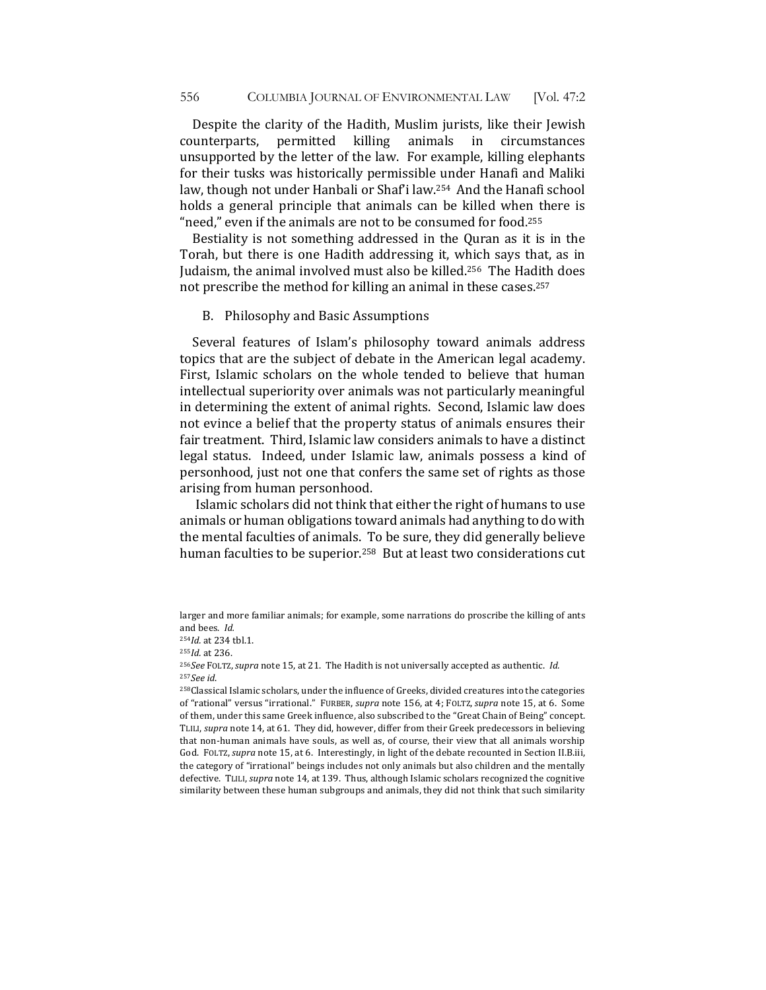Despite the clarity of the Hadith, Muslim jurists, like their Jewish counterparts, permitted killing animals in circumstances unsupported by the letter of the law. For example, killing elephants for their tusks was historically permissible under Hanafi and Maliki law, though not under Hanbali or Shaf'i law.<sup>254</sup> And the Hanafi school holds a general principle that animals can be killed when there is "need," even if the animals are not to be consumed for food.<sup>255</sup>

Bestiality is not something addressed in the Quran as it is in the Torah, but there is one Hadith addressing it, which says that, as in Judaism, the animal involved must also be killed.<sup>256</sup> The Hadith does not prescribe the method for killing an animal in these cases.<sup>257</sup>

B. Philosophy and Basic Assumptions

Several features of Islam's philosophy toward animals address topics that are the subject of debate in the American legal academy. First, Islamic scholars on the whole tended to believe that human intellectual superiority over animals was not particularly meaningful in determining the extent of animal rights. Second, Islamic law does not evince a belief that the property status of animals ensures their fair treatment. Third, Islamic law considers animals to have a distinct legal status. Indeed, under Islamic law, animals possess a kind of personhood, just not one that confers the same set of rights as those arising from human personhood.

Islamic scholars did not think that either the right of humans to use animals or human obligations toward animals had anything to do with the mental faculties of animals. To be sure, they did generally believe human faculties to be superior.<sup>258</sup> But at least two considerations cut

larger and more familiar animals; for example, some narrations do proscribe the killing of ants and bees. *Id.* 

<sup>&</sup>lt;sup>254</sup>*Id.* at 234 tbl.1.

<sup>255</sup>*Id.* at 236.

<sup>&</sup>lt;sup>256</sup>See FOLTZ, supra note 15, at 21. The Hadith is not universally accepted as authentic. *Id.* <sup>257</sup>*See id*.

<sup>258</sup>Classical Islamic scholars, under the influence of Greeks, divided creatures into the categories of "rational" versus "irrational." FURBER, *supra* note 156, at 4; FOLTZ, *supra* note 15, at 6. Some of them, under this same Greek influence, also subscribed to the "Great Chain of Being" concept. TLILI, *supra* note 14, at 61. They did, however, differ from their Greek predecessors in believing that non-human animals have souls, as well as, of course, their view that all animals worship God. FOLTZ, *supra* note 15, at 6. Interestingly, in light of the debate recounted in Section II.B.iii, the category of "irrational" beings includes not only animals but also children and the mentally defective. TLILI, *supra* note 14, at 139. Thus, although Islamic scholars recognized the cognitive similarity between these human subgroups and animals, they did not think that such similarity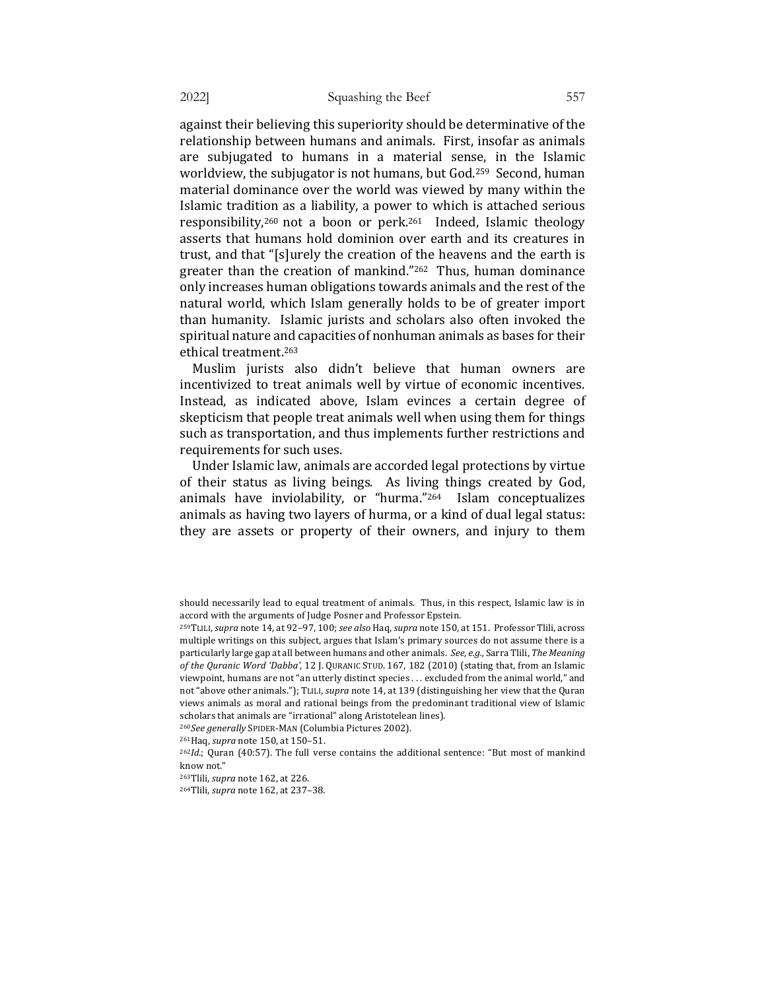against their believing this superiority should be determinative of the relationship between humans and animals. First, insofar as animals are subjugated to humans in a material sense, in the Islamic worldview, the subjugator is not humans, but God.<sup>259</sup> Second, human material dominance over the world was viewed by many within the Islamic tradition as a liability, a power to which is attached serious responsibility,<sup>260</sup> not a boon or perk.<sup>261</sup> Indeed, Islamic theology asserts that humans hold dominion over earth and its creatures in trust, and that "[s]urely the creation of the heavens and the earth is greater than the creation of mankind." $262$  Thus, human dominance only increases human obligations towards animals and the rest of the natural world, which Islam generally holds to be of greater import than humanity. Islamic jurists and scholars also often invoked the spiritual nature and capacities of nonhuman animals as bases for their ethical treatment.<sup>263</sup>

Muslim jurists also didn't believe that human owners are incentivized to treat animals well by virtue of economic incentives. Instead, as indicated above, Islam evinces a certain degree of skepticism that people treat animals well when using them for things such as transportation, and thus implements further restrictions and requirements for such uses.

Under Islamic law, animals are accorded legal protections by virtue of their status as living beings. As living things created by God, animals have inviolability, or "hurma."<sup>264</sup> Islam conceptualizes animals as having two layers of hurma, or a kind of dual legal status: they are assets or property of their owners, and injury to them

<sup>260</sup>See generally SPIDER-MAN (Columbia Pictures 2002).

should necessarily lead to equal treatment of animals. Thus, in this respect, Islamic law is in accord with the arguments of Judge Posner and Professor Epstein.

<sup>259</sup>TLILI, *supra* note 14, at 92-97, 100; see also Haq, supra note 150, at 151. Professor Tlili, across multiple writings on this subject, argues that Islam's primary sources do not assume there is a particularly large gap at all between humans and other animals. See, e.g., Sarra Tlili, The Meaning of the Quranic Word 'Dabba', 12 J. QURANIC STUD. 167, 182 (2010) (stating that, from an Islamic viewpoint, humans are not "an utterly distinct species ... excluded from the animal world," and not "above other animals."); TLILI, *supra* note 14, at 139 (distinguishing her view that the Quran views animals as moral and rational beings from the predominant traditional view of Islamic scholars that animals are "irrational" along Aristotelean lines).

<sup>261</sup>Haq, *supra* note 150, at 150-51.

 $262Id$ ; Quran (40:57). The full verse contains the additional sentence: "But most of mankind know not."

<sup>&</sup>lt;sup>263</sup>Tlili, *supra* note 162, at 226.

<sup>&</sup>lt;sup>264</sup>Tlili, *supra* note 162, at 237-38.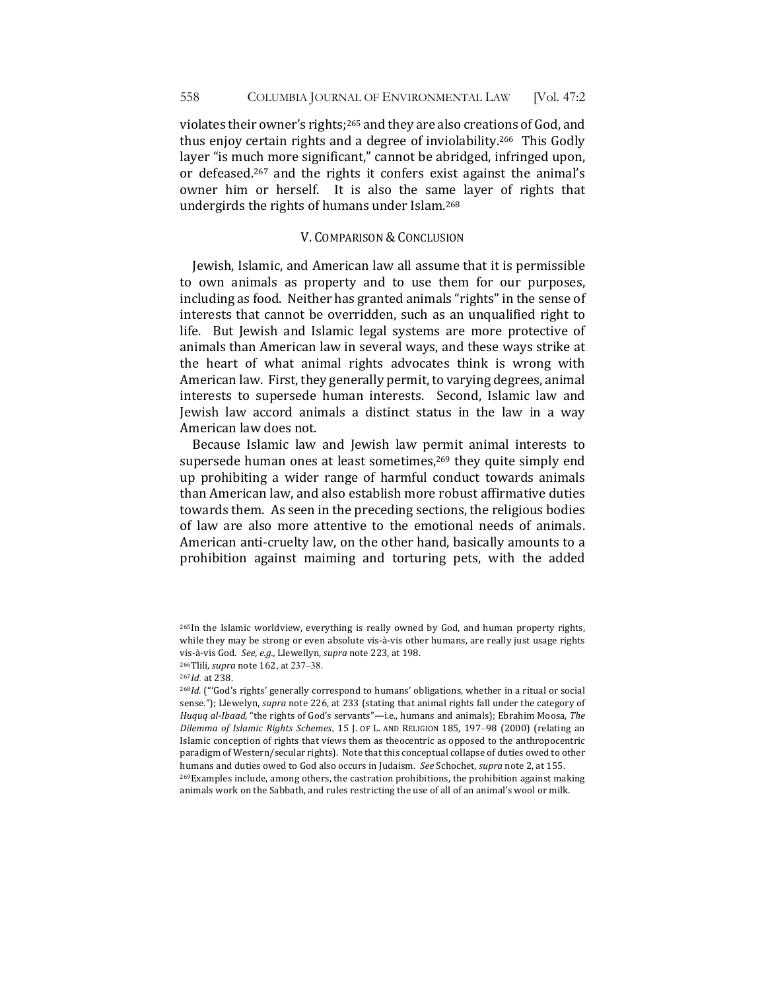violates their owner's rights;<sup>265</sup> and they are also creations of God, and thus enjoy certain rights and a degree of inviolability.<sup>266</sup> This Godly layer "is much more significant," cannot be abridged, infringed upon, or defeased.<sup>267</sup> and the rights it confers exist against the animal's owner him or herself. It is also the same layer of rights that undergirds the rights of humans under Islam.<sup>268</sup>

### V. COMPARISON & CONCLUSION

Jewish, Islamic, and American law all assume that it is permissible to own animals as property and to use them for our purposes, including as food. Neither has granted animals "rights" in the sense of interests that cannot be overridden, such as an unqualified right to life. But Jewish and Islamic legal systems are more protective of animals than American law in several ways, and these ways strike at the heart of what animal rights advocates think is wrong with American law. First, they generally permit, to varying degrees, animal interests to supersede human interests. Second, Islamic law and Jewish law accord animals a distinct status in the law in a way American law does not.

Because Islamic law and Jewish law permit animal interests to supersede human ones at least sometimes,<sup>269</sup> they quite simply end up prohibiting a wider range of harmful conduct towards animals than American law, and also establish more robust affirmative duties towards them. As seen in the preceding sections, the religious bodies of law are also more attentive to the emotional needs of animals. American anti-cruelty law, on the other hand, basically amounts to a prohibition against maiming and torturing pets, with the added

animals work on the Sabbath, and rules restricting the use of all of an animal's wool or milk.

<sup>&</sup>lt;sup>265</sup>In the Islamic worldview, everything is really owned by God, and human property rights, while they may be strong or even absolute vis-à-vis other humans, are really just usage rights vis-à-vis God. See, e.g., Llewellyn, supra note 223, at 198.

<sup>&</sup>lt;sup>266</sup>Tlili, *supra* note 162, at 237-38.

<sup>267</sup>*Id.* at 238. 

<sup>&</sup>lt;sup>268</sup>*Id.* ("God's rights' generally correspond to humans' obligations, whether in a ritual or social sense."); Llewelyn, *supra* note 226, at 233 (stating that animal rights fall under the category of *Huquq al-Ibaad,* "the rights of God's servants"—i.e., humans and animals); Ebrahim Moosa, The *Dilemma of Islamic Rights Schemes*, 15 J. OF L. AND RELIGION 185, 197-98 (2000) (relating an Islamic conception of rights that views them as theocentric as opposed to the anthropocentric paradigm of Western/secular rights). Note that this conceptual collapse of duties owed to other humans and duties owed to God also occurs in Judaism. See Schochet, *supra* note 2, at 155. 269 Examples include, among others, the castration prohibitions, the prohibition against making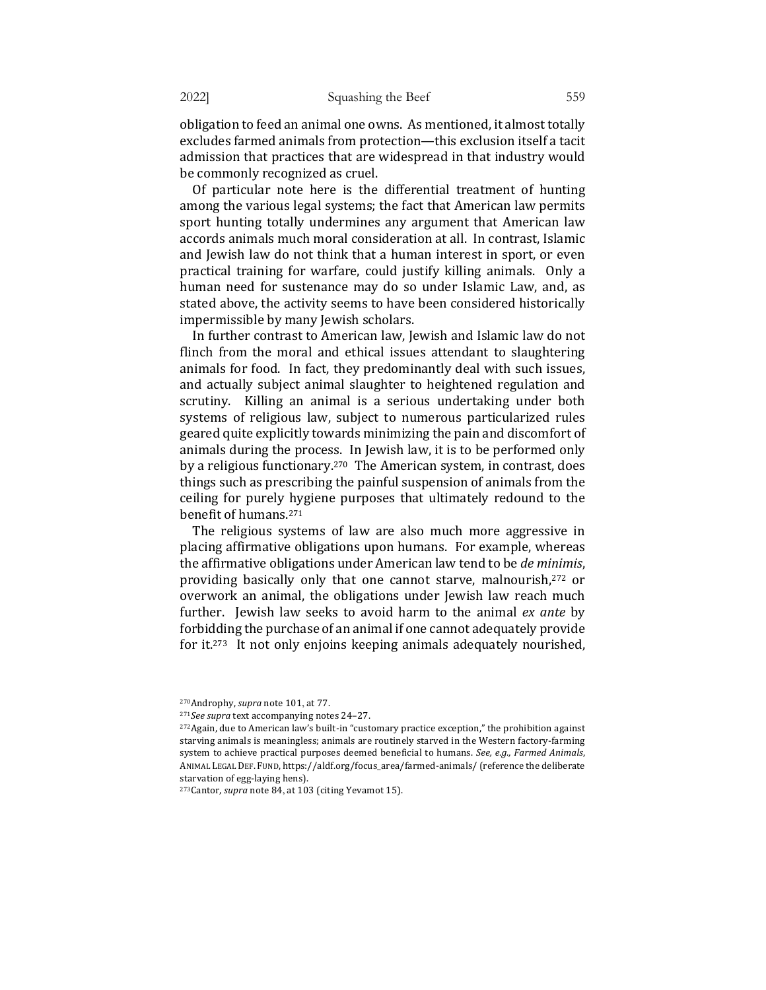obligation to feed an animal one owns. As mentioned, it almost totally excludes farmed animals from protection—this exclusion itself a tacit admission that practices that are widespread in that industry would be commonly recognized as cruel.

Of particular note here is the differential treatment of hunting among the various legal systems; the fact that American law permits sport hunting totally undermines any argument that American law accords animals much moral consideration at all. In contrast, Islamic and Jewish law do not think that a human interest in sport, or even practical training for warfare, could justify killing animals. Only a human need for sustenance may do so under Islamic Law, and, as stated above, the activity seems to have been considered historically impermissible by many Jewish scholars.

In further contrast to American law, Jewish and Islamic law do not flinch from the moral and ethical issues attendant to slaughtering animals for food. In fact, they predominantly deal with such issues, and actually subject animal slaughter to heightened regulation and scrutiny. Killing an animal is a serious undertaking under both systems of religious law, subject to numerous particularized rules geared quite explicitly towards minimizing the pain and discomfort of animals during the process. In Jewish law, it is to be performed only by a religious functionary.<sup>270</sup> The American system, in contrast, does things such as prescribing the painful suspension of animals from the ceiling for purely hygiene purposes that ultimately redound to the benefit of humans.<sup>271</sup>

The religious systems of law are also much more aggressive in placing affirmative obligations upon humans. For example, whereas the affirmative obligations under American law tend to be *de minimis*, providing basically only that one cannot starve, malnourish,<sup>272</sup> or overwork an animal, the obligations under Jewish law reach much further. Jewish law seeks to avoid harm to the animal *ex ante* by forbidding the purchase of an animal if one cannot adequately provide for it. $273$  It not only enjoins keeping animals adequately nourished,

<sup>&</sup>lt;sup>270</sup>Androphy, *supra* note 101, at 77.

<sup>&</sup>lt;sup>271</sup>See supra text accompanying notes 24-27.

<sup>&</sup>lt;sup>272</sup>Again, due to American law's built-in "customary practice exception," the prohibition against starving animals is meaningless; animals are routinely starved in the Western factory-farming system to achieve practical purposes deemed beneficial to humans. *See, e.g., Farmed Animals,* ANIMAL LEGAL DEF. FUND, https://aldf.org/focus\_area/farmed-animals/ (reference the deliberate starvation of egg-laying hens).

<sup>&</sup>lt;sup>273</sup>Cantor, *supra* note 84, at 103 (citing Yevamot 15).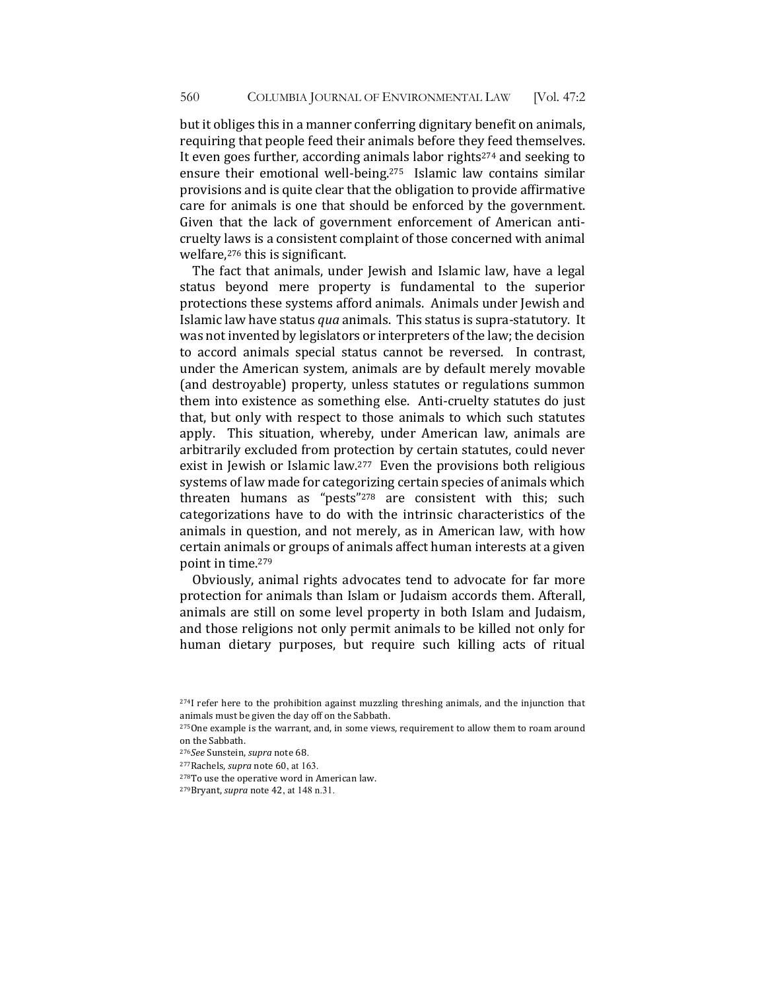but it obliges this in a manner conferring dignitary benefit on animals, requiring that people feed their animals before they feed themselves. It even goes further, according animals labor rights<sup>274</sup> and seeking to ensure their emotional well-being.<sup>275</sup> Islamic law contains similar provisions and is quite clear that the obligation to provide affirmative care for animals is one that should be enforced by the government. Given that the lack of government enforcement of American anticruelty laws is a consistent complaint of those concerned with animal welfare, $276$  this is significant.

The fact that animals, under Jewish and Islamic law, have a legal status beyond mere property is fundamental to the superior protections these systems afford animals. Animals under Jewish and Islamic law have status *qua* animals. This status is supra-statutory. It was not invented by legislators or interpreters of the law; the decision to accord animals special status cannot be reversed. In contrast, under the American system, animals are by default merely movable (and destroyable) property, unless statutes or regulations summon them into existence as something else. Anti-cruelty statutes do just that, but only with respect to those animals to which such statutes apply. This situation, whereby, under American law, animals are arbitrarily excluded from protection by certain statutes, could never exist in Jewish or Islamic law. $277$  Even the provisions both religious systems of law made for categorizing certain species of animals which threaten humans as "pests"<sup>278</sup> are consistent with this; such categorizations have to do with the intrinsic characteristics of the animals in question, and not merely, as in American law, with how certain animals or groups of animals affect human interests at a given point in time.<sup>279</sup>

Obviously, animal rights advocates tend to advocate for far more protection for animals than Islam or Judaism accords them. Afterall, animals are still on some level property in both Islam and Judaism, and those religions not only permit animals to be killed not only for human dietary purposes, but require such killing acts of ritual

<sup>&</sup>lt;sup>274</sup>I refer here to the prohibition against muzzling threshing animals, and the injunction that animals must be given the day off on the Sabbath.

 $275$ One example is the warrant, and, in some views, requirement to allow them to roam around on the Sabbath.

<sup>276</sup>See Sunstein, *supra* note 68.

<sup>&</sup>lt;sup>277</sup>Rachels, *supra* note 60, at 163.

<sup>&</sup>lt;sup>278</sup>To use the operative word in American law.

<sup>&</sup>lt;sup>279</sup>Bryant, *supra* note 42, at 148 n.31.